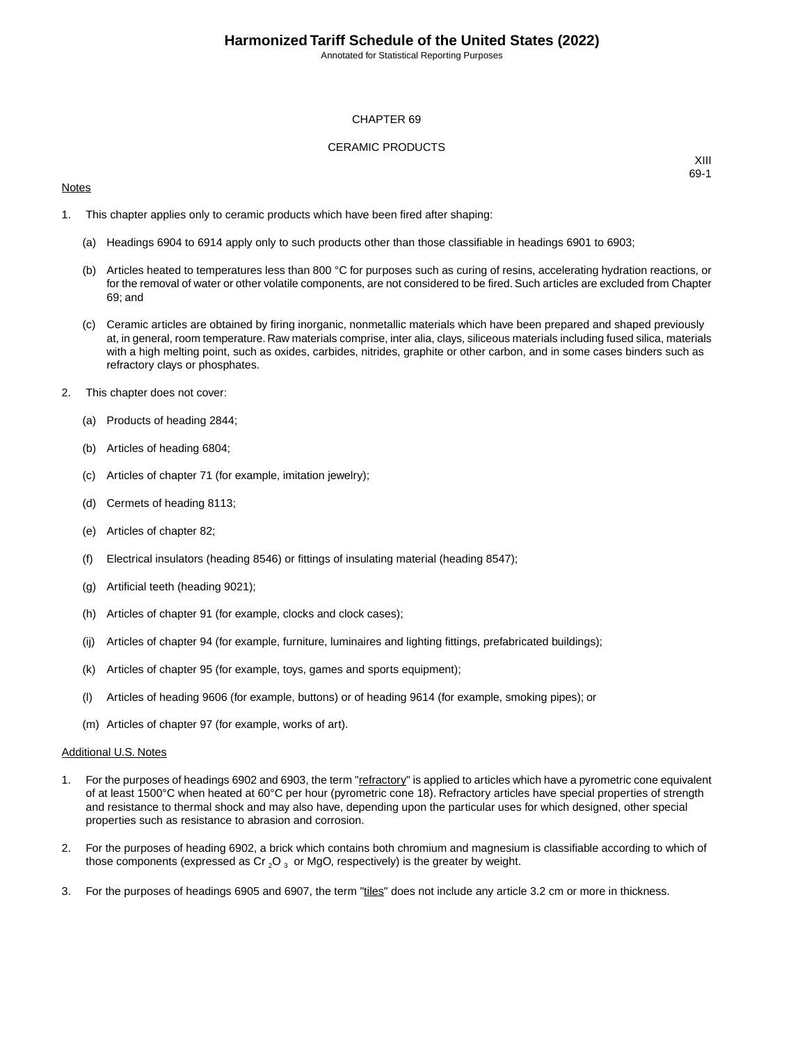Annotated for Statistical Reporting Purposes

#### CHAPTER 69

#### CERAMIC PRODUCTS

#### **Notes**

XIII 69-1

- 1. This chapter applies only to ceramic products which have been fired after shaping:
	- (a) Headings 6904 to 6914 apply only to such products other than those classifiable in headings 6901 to 6903;
	- (b) Articles heated to temperatures less than 800 °C for purposes such as curing of resins, accelerating hydration reactions, or for the removal of water or other volatile components, are not considered to be fired. Such articles are excluded from Chapter 69; and
	- (c) Ceramic articles are obtained by firing inorganic, nonmetallic materials which have been prepared and shaped previously at, in general, room temperature. Raw materials comprise, inter alia, clays, siliceous materials including fused silica, materials with a high melting point, such as oxides, carbides, nitrides, graphite or other carbon, and in some cases binders such as refractory clays or phosphates.
- 2. This chapter does not cover:
	- (a) Products of heading 2844;
	- (b) Articles of heading 6804;
	- (c) Articles of chapter 71 (for example, imitation jewelry);
	- (d) Cermets of heading 8113;
	- (e) Articles of chapter 82;
	- (f) Electrical insulators (heading 8546) or fittings of insulating material (heading 8547);
	- (g) Artificial teeth (heading 9021);
	- (h) Articles of chapter 91 (for example, clocks and clock cases);
	- (ij) Articles of chapter 94 (for example, furniture, luminaires and lighting fittings, prefabricated buildings);
	- (k) Articles of chapter 95 (for example, toys, games and sports equipment);
	- (l) Articles of heading 9606 (for example, buttons) or of heading 9614 (for example, smoking pipes); or
	- (m) Articles of chapter 97 (for example, works of art).

#### Additional U.S. Notes

- 1. For the purposes of headings 6902 and 6903, the term "refractory" is applied to articles which have a pyrometric cone equivalent of at least 1500°C when heated at 60°C per hour (pyrometric cone 18). Refractory articles have special properties of strength and resistance to thermal shock and may also have, depending upon the particular uses for which designed, other special properties such as resistance to abrasion and corrosion.
- 2. For the purposes of heading 6902, a brick which contains both chromium and magnesium is classifiable according to which of those components (expressed as Cr  $_2$ O  $_3$  or MgO, respectively) is the greater by weight.
- 3. For the purposes of headings 6905 and 6907, the term "tiles" does not include any article 3.2 cm or more in thickness.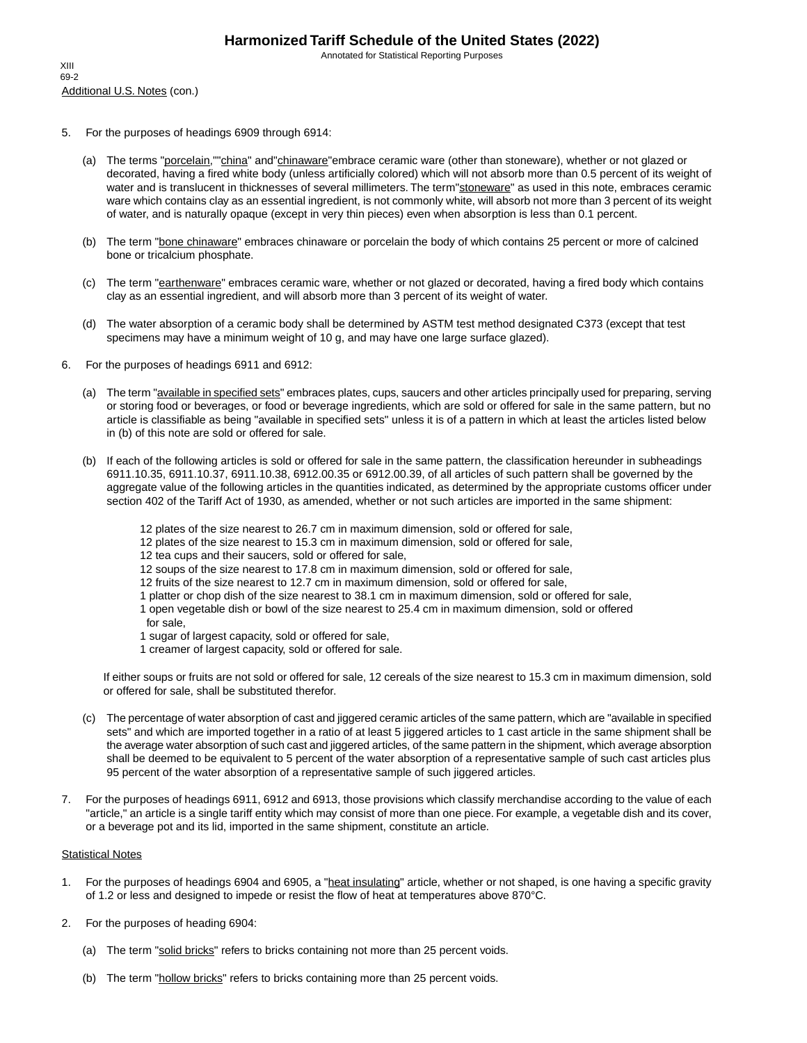Annotated for Statistical Reporting Purposes

- 5. For the purposes of headings 6909 through 6914:
	- (a) The terms "porcelain,""china" and"chinaware"embrace ceramic ware (other than stoneware), whether or not glazed or decorated, having a fired white body (unless artificially colored) which will not absorb more than 0.5 percent of its weight of water and is translucent in thicknesses of several millimeters. The term"stoneware" as used in this note, embraces ceramic ware which contains clay as an essential ingredient, is not commonly white, will absorb not more than 3 percent of its weight of water, and is naturally opaque (except in very thin pieces) even when absorption is less than 0.1 percent.
	- (b) The term "bone chinaware" embraces chinaware or porcelain the body of which contains 25 percent or more of calcined bone or tricalcium phosphate.
	- (c) The term "earthenware" embraces ceramic ware, whether or not glazed or decorated, having a fired body which contains clay as an essential ingredient, and will absorb more than 3 percent of its weight of water.
	- (d) The water absorption of a ceramic body shall be determined by ASTM test method designated C373 (except that test specimens may have a minimum weight of 10 g, and may have one large surface glazed).
- 6. For the purposes of headings 6911 and 6912:
	- (a) The term "*available in specified sets*" embraces plates, cups, saucers and other articles principally used for preparing, serving or storing food or beverages, or food or beverage ingredients, which are sold or offered for sale in the same pattern, but no article is classifiable as being "available in specified sets" unless it is of a pattern in which at least the articles listed below in (b) of this note are sold or offered for sale.
	- (b) If each of the following articles is sold or offered for sale in the same pattern, the classification hereunder in subheadings 6911.10.35, 6911.10.37, 6911.10.38, 6912.00.35 or 6912.00.39, of all articles of such pattern shall be governed by the aggregate value of the following articles in the quantities indicated, as determined by the appropriate customs officer under section 402 of the Tariff Act of 1930, as amended, whether or not such articles are imported in the same shipment:
		- 12 plates of the size nearest to 26.7 cm in maximum dimension, sold or offered for sale,
		- 12 plates of the size nearest to 15.3 cm in maximum dimension, sold or offered for sale,
		- 12 tea cups and their saucers, sold or offered for sale,
		- 12 soups of the size nearest to 17.8 cm in maximum dimension, sold or offered for sale,
		- 12 fruits of the size nearest to 12.7 cm in maximum dimension, sold or offered for sale,
		- 1 platter or chop dish of the size nearest to 38.1 cm in maximum dimension, sold or offered for sale,
		- 1 open vegetable dish or bowl of the size nearest to 25.4 cm in maximum dimension, sold or offered for sale,
		- 1 sugar of largest capacity, sold or offered for sale,
		- 1 creamer of largest capacity, sold or offered for sale.

If either soups or fruits are not sold or offered for sale, 12 cereals of the size nearest to 15.3 cm in maximum dimension, sold or offered for sale, shall be substituted therefor.

- (c) The percentage of water absorption of cast and jiggered ceramic articles of the same pattern, which are "available in specified sets" and which are imported together in a ratio of at least 5 jiggered articles to 1 cast article in the same shipment shall be the average water absorption of such cast and jiggered articles, of the same pattern in the shipment, which average absorption shall be deemed to be equivalent to 5 percent of the water absorption of a representative sample of such cast articles plus 95 percent of the water absorption of a representative sample of such jiggered articles.
- 7. For the purposes of headings 6911, 6912 and 6913, those provisions which classify merchandise according to the value of each "article," an article is a single tariff entity which may consist of more than one piece. For example, a vegetable dish and its cover, or a beverage pot and its lid, imported in the same shipment, constitute an article.

#### **Statistical Notes**

- 1. For the purposes of headings 6904 and 6905, a "heat insulating" article, whether or not shaped, is one having a specific gravity of 1.2 or less and designed to impede or resist the flow of heat at temperatures above 870°C.
- 2. For the purposes of heading 6904:
	- (a) The term "solid bricks" refers to bricks containing not more than 25 percent voids.
	- (b) The term "hollow bricks" refers to bricks containing more than 25 percent voids.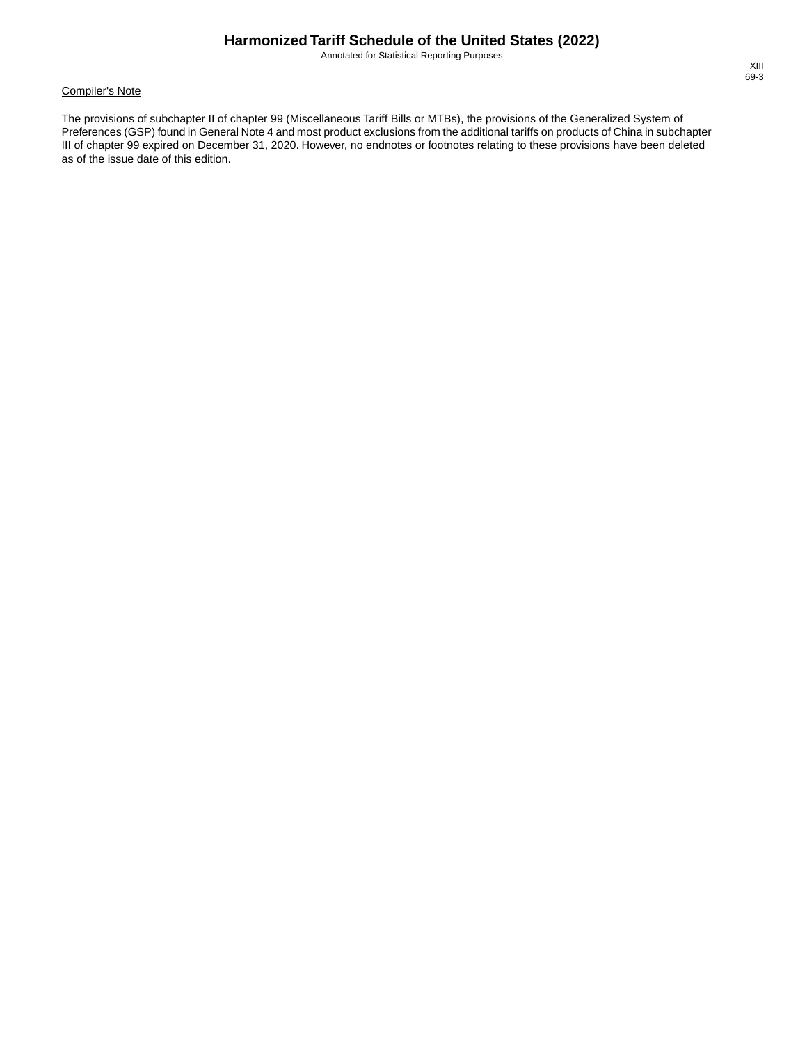Annotated for Statistical Reporting Purposes

#### Compiler's Note

The provisions of subchapter II of chapter 99 (Miscellaneous Tariff Bills or MTBs), the provisions of the Generalized System of Preferences (GSP) found in General Note 4 and most product exclusions from the additional tariffs on products of China in subchapter III of chapter 99 expired on December 31, 2020. However, no endnotes or footnotes relating to these provisions have been deleted as of the issue date of this edition.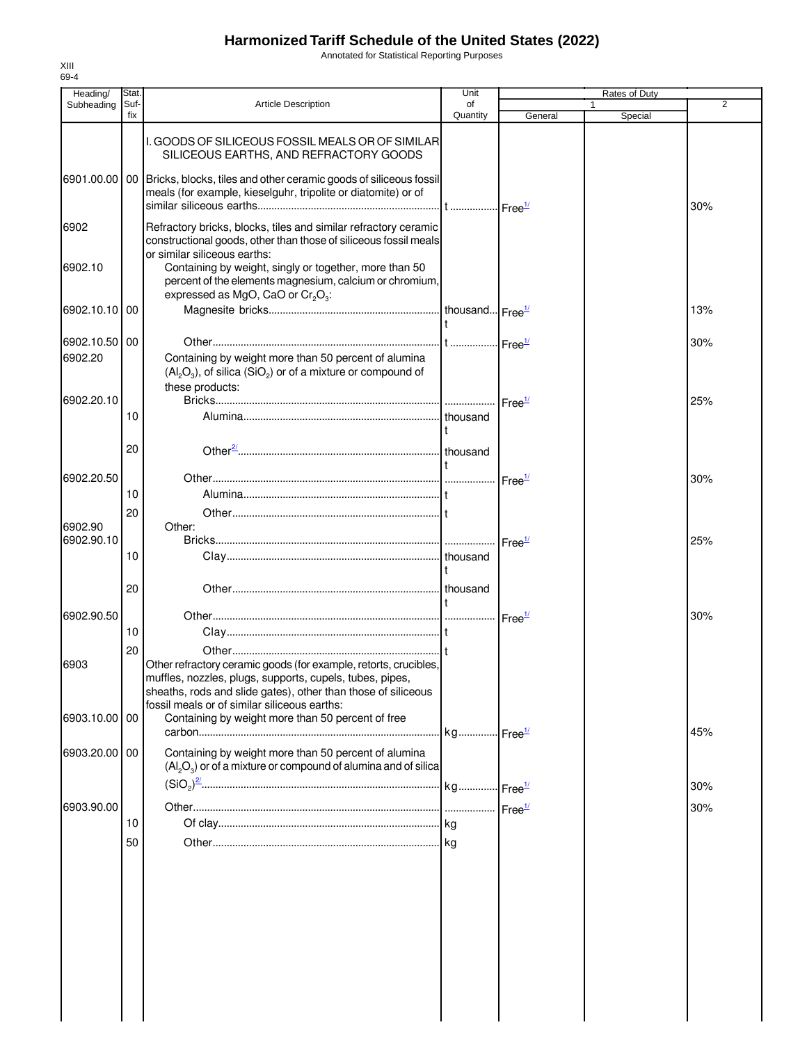Annotated for Statistical Reporting Purposes

| Heading/                 | Stat.       |                                                                                                                                                                                                                                               | Unit                  |                               | Rates of Duty |                |
|--------------------------|-------------|-----------------------------------------------------------------------------------------------------------------------------------------------------------------------------------------------------------------------------------------------|-----------------------|-------------------------------|---------------|----------------|
| Subheading               | Suf-<br>fix | <b>Article Description</b>                                                                                                                                                                                                                    | of<br>Quantity        | General                       | Special       | $\overline{2}$ |
| 6901.00.00               |             | I. GOODS OF SILICEOUS FOSSIL MEALS OR OF SIMILARI<br>SILICEOUS EARTHS, AND REFRACTORY GOODS<br>00 Bricks, blocks, tiles and other ceramic goods of siliceous fossil<br>meals (for example, kieselguhr, tripolite or diatomite) or of          |                       |                               |               |                |
| 6902                     |             | Refractory bricks, blocks, tiles and similar refractory ceramic<br>constructional goods, other than those of siliceous fossil meals                                                                                                           |                       |                               |               | 30%            |
| 6902.10                  |             | or similar siliceous earths:<br>Containing by weight, singly or together, more than 50<br>percent of the elements magnesium, calcium or chromium,<br>expressed as MgO, CaO or $Cr_2O_3$ :                                                     |                       |                               |               |                |
| 6902.10.10               | 00          |                                                                                                                                                                                                                                               |                       |                               |               | 13%            |
| 6902.10.50 00<br>6902.20 |             | Containing by weight more than 50 percent of alumina<br>$(Al_2O_3)$ , of silica (SiO <sub>2</sub> ) or of a mixture or compound of                                                                                                            |                       |                               |               | 30%            |
| 6902.20.10               |             | these products:                                                                                                                                                                                                                               |                       | Free <sup>1/</sup>            |               | 25%            |
|                          | 10          |                                                                                                                                                                                                                                               | thousand              |                               |               |                |
|                          | 20          |                                                                                                                                                                                                                                               |                       |                               |               |                |
| 6902.20.50               | 10          |                                                                                                                                                                                                                                               |                       | $\mathsf{Free}^{\frac{1}{2}}$ |               | 30%            |
| 6902.90                  | 20          | Other:                                                                                                                                                                                                                                        |                       |                               |               |                |
| 6902.90.10               | 10          |                                                                                                                                                                                                                                               |                       | $r = e^{\frac{1}{2}}$         |               | 25%            |
|                          | 20          |                                                                                                                                                                                                                                               |                       |                               |               |                |
| 6902.90.50               | 10          |                                                                                                                                                                                                                                               |                       |                               |               | 30%            |
| 6903                     | 20          | Other refractory ceramic goods (for example, retorts, crucibles,<br>muffles, nozzles, plugs, supports, cupels, tubes, pipes,<br>sheaths, rods and slide gates), other than those of siliceous<br>fossil meals or of similar siliceous earths: |                       |                               |               |                |
| 6903.10.00 00            |             | Containing by weight more than 50 percent of free                                                                                                                                                                                             | kg Free <sup>1/</sup> |                               |               | 45%            |
| 6903.20.00 00            |             | Containing by weight more than 50 percent of alumina<br>$(Al_2O_3)$ or of a mixture or compound of alumina and of silica                                                                                                                      |                       |                               |               |                |
| 6903.90.00               |             |                                                                                                                                                                                                                                               |                       |                               |               | 30%<br>30%     |
|                          | 10          |                                                                                                                                                                                                                                               |                       |                               |               |                |
|                          | 50          |                                                                                                                                                                                                                                               |                       |                               |               |                |
|                          |             |                                                                                                                                                                                                                                               |                       |                               |               |                |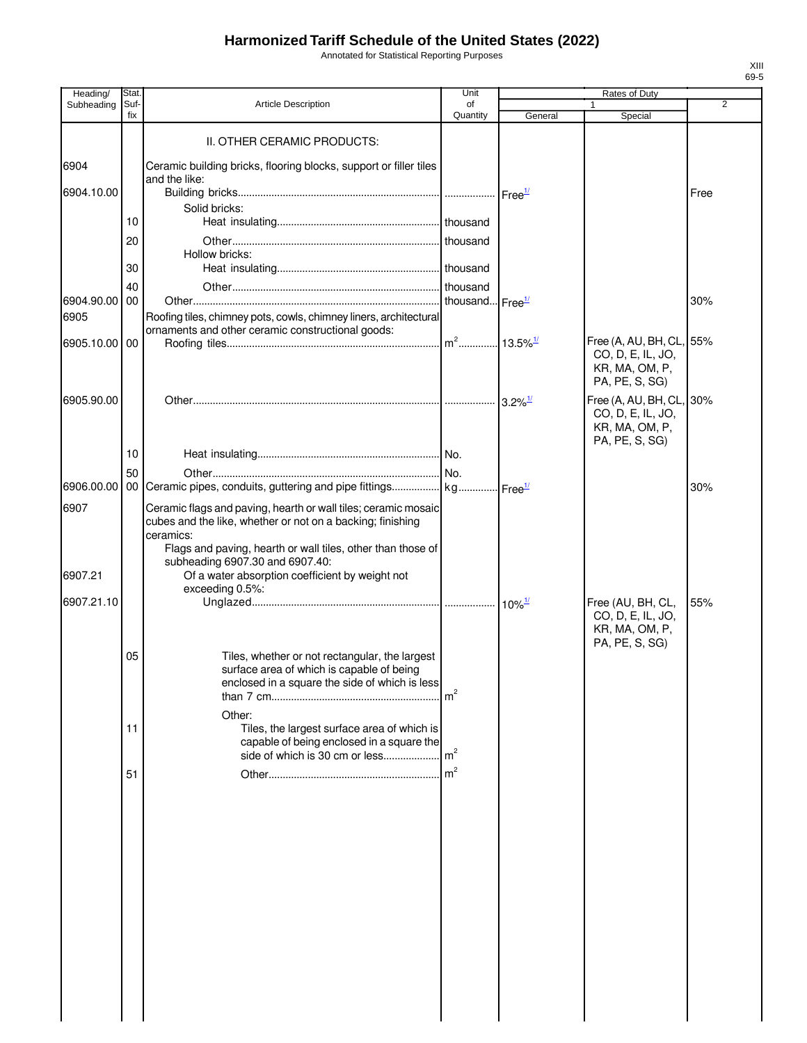Annotated for Statistical Reporting Purposes

| Heading/           | Stat.       |                                                                                             | Unit           | Rates of Duty         |                                               |      |  |
|--------------------|-------------|---------------------------------------------------------------------------------------------|----------------|-----------------------|-----------------------------------------------|------|--|
| Subheading         | Suf-<br>fix | <b>Article Description</b>                                                                  | of<br>Quantity | General               | 1<br>Special                                  | 2    |  |
|                    |             | II. OTHER CERAMIC PRODUCTS:                                                                 |                |                       |                                               |      |  |
|                    |             |                                                                                             |                |                       |                                               |      |  |
| 6904               |             | Ceramic building bricks, flooring blocks, support or filler tiles<br>and the like:          |                |                       |                                               |      |  |
| 6904.10.00         |             |                                                                                             |                | Free <sup>1/</sup>    |                                               | Free |  |
|                    | 10          | Solid bricks:                                                                               |                |                       |                                               |      |  |
|                    | 20          |                                                                                             | thousand       |                       |                                               |      |  |
|                    |             | Hollow bricks:                                                                              |                |                       |                                               |      |  |
|                    | 30          |                                                                                             |                |                       |                                               |      |  |
|                    | 40<br>00    |                                                                                             |                |                       |                                               |      |  |
| 6904.90.00<br>6905 |             | Roofing tiles, chimney pots, cowls, chimney liners, architectural                           |                |                       |                                               | 30%  |  |
|                    |             | ornaments and other ceramic constructional goods:                                           |                |                       |                                               |      |  |
| 6905.10.00 00      |             |                                                                                             |                |                       | Free (A, AU, BH, CL, 55%<br>CO, D, E, IL, JO, |      |  |
|                    |             |                                                                                             |                |                       | KR, MA, OM, P,                                |      |  |
|                    |             |                                                                                             |                |                       | PA, PE, S, SG)                                |      |  |
| 6905.90.00         |             |                                                                                             |                | $3.2\%$ <sup>1/</sup> | Free (A, AU, BH, CL, 30%<br>CO, D, E, IL, JO, |      |  |
|                    |             |                                                                                             |                |                       | KR, MA, OM, P,                                |      |  |
|                    | 10          |                                                                                             |                |                       | PA, PE, S, SG)                                |      |  |
|                    | 50          |                                                                                             |                |                       |                                               |      |  |
| 6906.00.00         |             | 00 Ceramic pipes, conduits, guttering and pipe fittings kg Free <sup>1/</sup>               |                |                       |                                               | 30%  |  |
| 6907               |             | Ceramic flags and paving, hearth or wall tiles; ceramic mosaic                              |                |                       |                                               |      |  |
|                    |             | cubes and the like, whether or not on a backing; finishing                                  |                |                       |                                               |      |  |
|                    |             | ceramics:<br>Flags and paving, hearth or wall tiles, other than those of                    |                |                       |                                               |      |  |
|                    |             | subheading 6907.30 and 6907.40:                                                             |                |                       |                                               |      |  |
| 6907.21            |             | Of a water absorption coefficient by weight not<br>exceeding 0.5%:                          |                |                       |                                               |      |  |
| 6907.21.10         |             |                                                                                             |                |                       | Free (AU, BH, CL,                             | 55%  |  |
|                    |             |                                                                                             |                |                       | CO, D, E, IL, JO,<br>KR, MA, OM, P,           |      |  |
|                    |             |                                                                                             |                |                       | PA, PE, S, SG)                                |      |  |
|                    | 05          | Tiles, whether or not rectangular, the largest<br>surface area of which is capable of being |                |                       |                                               |      |  |
|                    |             | enclosed in a square the side of which is less                                              |                |                       |                                               |      |  |
|                    |             |                                                                                             | m <sup>2</sup> |                       |                                               |      |  |
|                    | 11          | Other:<br>Tiles, the largest surface area of which is                                       |                |                       |                                               |      |  |
|                    |             | capable of being enclosed in a square the                                                   |                |                       |                                               |      |  |
|                    |             | side of which is 30 cm or less                                                              | m <sup>2</sup> |                       |                                               |      |  |
|                    | 51          |                                                                                             | m <sup>2</sup> |                       |                                               |      |  |
|                    |             |                                                                                             |                |                       |                                               |      |  |
|                    |             |                                                                                             |                |                       |                                               |      |  |
|                    |             |                                                                                             |                |                       |                                               |      |  |
|                    |             |                                                                                             |                |                       |                                               |      |  |
|                    |             |                                                                                             |                |                       |                                               |      |  |
|                    |             |                                                                                             |                |                       |                                               |      |  |
|                    |             |                                                                                             |                |                       |                                               |      |  |
|                    |             |                                                                                             |                |                       |                                               |      |  |
|                    |             |                                                                                             |                |                       |                                               |      |  |
|                    |             |                                                                                             |                |                       |                                               |      |  |
|                    |             |                                                                                             |                |                       |                                               |      |  |
|                    |             |                                                                                             |                |                       |                                               |      |  |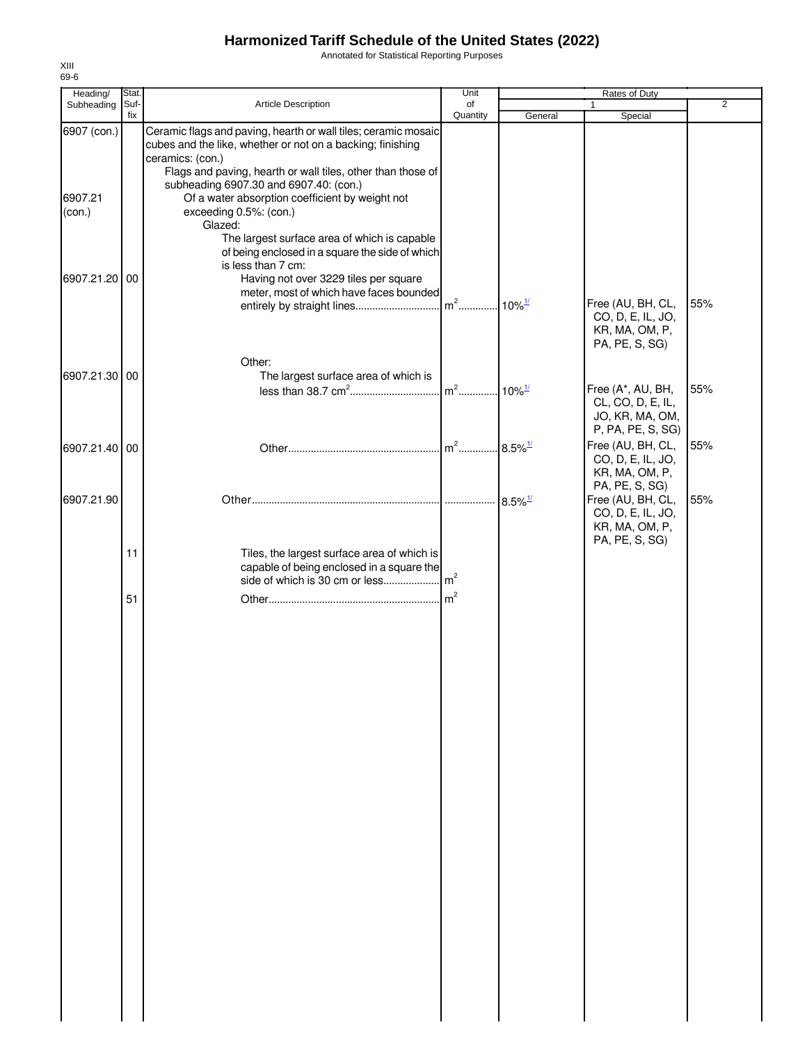Annotated for Statistical Reporting Purposes

| Heading/          | Stat.       |                                                                                                                                                                                                           | Unit           |                       | Rates of Duty                                                                                |                |
|-------------------|-------------|-----------------------------------------------------------------------------------------------------------------------------------------------------------------------------------------------------------|----------------|-----------------------|----------------------------------------------------------------------------------------------|----------------|
| Subheading        | Suf-<br>fix | Article Description                                                                                                                                                                                       | of<br>Quantity | General               | 1<br>Special                                                                                 | $\overline{2}$ |
| 6907 (con.)       |             | Ceramic flags and paving, hearth or wall tiles; ceramic mosaic<br>cubes and the like, whether or not on a backing; finishing<br>ceramics: (con.)                                                          |                |                       |                                                                                              |                |
| 6907.21<br>(con.) |             | Flags and paving, hearth or wall tiles, other than those of<br>subheading 6907.30 and 6907.40: (con.)<br>Of a water absorption coefficient by weight not<br>exceeding 0.5%: (con.)<br>Glazed:             |                |                       |                                                                                              |                |
| 6907.21.20 00     |             | The largest surface area of which is capable<br>of being enclosed in a square the side of which<br>is less than 7 cm:<br>Having not over 3229 tiles per square<br>meter, most of which have faces bounded |                |                       | Free (AU, BH, CL,<br>CO, D, E, IL, JO,<br>KR, MA, OM, P,                                     | 55%            |
| 6907.21.30 00     |             | Other:<br>The largest surface area of which is                                                                                                                                                            |                |                       | PA, PE, S, SG)                                                                               |                |
|                   |             |                                                                                                                                                                                                           |                |                       | Free (A*, AU, BH,<br>CL, CO, D, E, IL,<br>JO, KR, MA, OM,<br>P, PA, PE, S, SG)               | 55%            |
| 6907.21.40 00     |             |                                                                                                                                                                                                           |                | $8.5\%$ <sup>1/</sup> | Free (AU, BH, CL,<br>CO, D, E, IL, JO,<br>KR, MA, OM, P,                                     | 55%            |
| 6907.21.90        |             |                                                                                                                                                                                                           |                |                       | PA, PE, S, SG)<br>Free (AU, BH, CL,<br>CO, D, E, IL, JO,<br>KR, MA, OM, P,<br>PA, PE, S, SG) | 55%            |
|                   | 11          | Tiles, the largest surface area of which is<br>capable of being enclosed in a square the<br>side of which is 30 cm or less                                                                                | m <sup>2</sup> |                       |                                                                                              |                |
|                   | 51          |                                                                                                                                                                                                           |                |                       |                                                                                              |                |
|                   |             |                                                                                                                                                                                                           |                |                       |                                                                                              |                |
|                   |             |                                                                                                                                                                                                           |                |                       |                                                                                              |                |
|                   |             |                                                                                                                                                                                                           |                |                       |                                                                                              |                |
|                   |             |                                                                                                                                                                                                           |                |                       |                                                                                              |                |
|                   |             |                                                                                                                                                                                                           |                |                       |                                                                                              |                |
|                   |             |                                                                                                                                                                                                           |                |                       |                                                                                              |                |
|                   |             |                                                                                                                                                                                                           |                |                       |                                                                                              |                |
|                   |             |                                                                                                                                                                                                           |                |                       |                                                                                              |                |
|                   |             |                                                                                                                                                                                                           |                |                       |                                                                                              |                |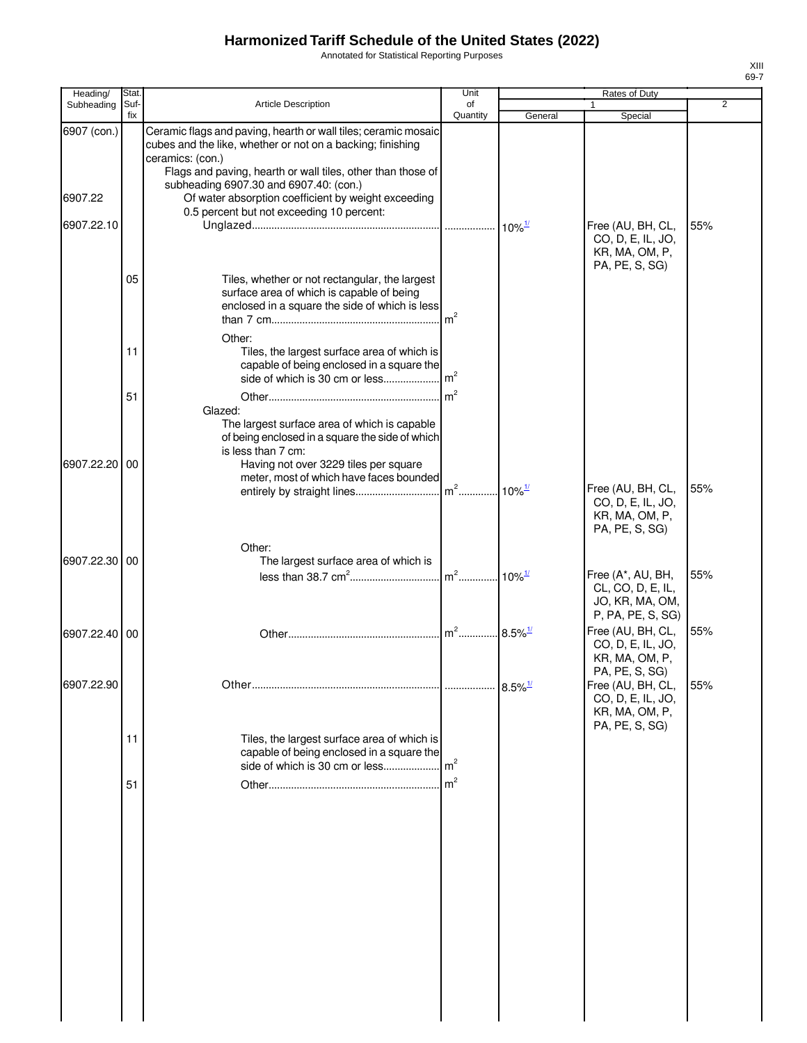Annotated for Statistical Reporting Purposes

| $\overline{2}$<br><b>Article Description</b><br>Subheading<br>Suf-<br>of<br>1<br>fix<br>Quantity<br>General<br>Special<br>Ceramic flags and paving, hearth or wall tiles; ceramic mosaic<br>6907 (con.)<br>cubes and the like, whether or not on a backing; finishing<br>ceramics: (con.)<br>Flags and paving, hearth or wall tiles, other than those of<br>subheading 6907.30 and 6907.40: (con.)<br>6907.22<br>Of water absorption coefficient by weight exceeding<br>0.5 percent but not exceeding 10 percent:<br>6907.22.10<br>Free (AU, BH, CL,<br>55%<br>CO, D, E, IL, JO,<br>KR, MA, OM, P,<br>PA, PE, S, SG)<br>05<br>Tiles, whether or not rectangular, the largest<br>surface area of which is capable of being<br>enclosed in a square the side of which is less<br>m <sup>2</sup><br>Other:<br>Tiles, the largest surface area of which is<br>11<br>capable of being enclosed in a square the<br>m <sup>2</sup><br>side of which is 30 cm or less<br>$\mathsf{Im}^2$<br>51<br>Glazed:<br>The largest surface area of which is capable<br>of being enclosed in a square the side of which<br>is less than 7 cm:<br>6907.22.20<br>00<br>Having not over 3229 tiles per square<br>meter, most of which have faces bounded<br>Free (AU, BH, CL,<br>55%<br>$10\%$ <sup>1/</sup><br>CO, D, E, IL, JO,<br>KR, MA, OM, P,<br>PA, PE, S, SG)<br>Other:<br>6907.22.30 00<br>The largest surface area of which is<br>55%<br>Free (A*, AU, BH,<br>CL, CO, D, E, IL,<br>JO, KR, MA, OM,<br>P, PA, PE, S, SG)<br>$m2$<br>Free (AU, BH, CL,<br>55%<br>$8.5\%$ <sup>1/</sup><br>6907.22.40 00<br>CO, D, E, IL, JO,<br>KR, MA, OM, P,<br>PA, PE, S, SG)<br>6907.22.90<br>55%<br>$8.5\%$ <sup>1/</sup><br>Free (AU, BH, CL,<br>.<br>CO, D, E, IL, JO,<br>KR, MA, OM, P,<br>PA, PE, S, SG) |
|-------------------------------------------------------------------------------------------------------------------------------------------------------------------------------------------------------------------------------------------------------------------------------------------------------------------------------------------------------------------------------------------------------------------------------------------------------------------------------------------------------------------------------------------------------------------------------------------------------------------------------------------------------------------------------------------------------------------------------------------------------------------------------------------------------------------------------------------------------------------------------------------------------------------------------------------------------------------------------------------------------------------------------------------------------------------------------------------------------------------------------------------------------------------------------------------------------------------------------------------------------------------------------------------------------------------------------------------------------------------------------------------------------------------------------------------------------------------------------------------------------------------------------------------------------------------------------------------------------------------------------------------------------------------------------------------------------------------------------------------------------------------------------------|
|                                                                                                                                                                                                                                                                                                                                                                                                                                                                                                                                                                                                                                                                                                                                                                                                                                                                                                                                                                                                                                                                                                                                                                                                                                                                                                                                                                                                                                                                                                                                                                                                                                                                                                                                                                                     |
|                                                                                                                                                                                                                                                                                                                                                                                                                                                                                                                                                                                                                                                                                                                                                                                                                                                                                                                                                                                                                                                                                                                                                                                                                                                                                                                                                                                                                                                                                                                                                                                                                                                                                                                                                                                     |
|                                                                                                                                                                                                                                                                                                                                                                                                                                                                                                                                                                                                                                                                                                                                                                                                                                                                                                                                                                                                                                                                                                                                                                                                                                                                                                                                                                                                                                                                                                                                                                                                                                                                                                                                                                                     |
|                                                                                                                                                                                                                                                                                                                                                                                                                                                                                                                                                                                                                                                                                                                                                                                                                                                                                                                                                                                                                                                                                                                                                                                                                                                                                                                                                                                                                                                                                                                                                                                                                                                                                                                                                                                     |
|                                                                                                                                                                                                                                                                                                                                                                                                                                                                                                                                                                                                                                                                                                                                                                                                                                                                                                                                                                                                                                                                                                                                                                                                                                                                                                                                                                                                                                                                                                                                                                                                                                                                                                                                                                                     |
|                                                                                                                                                                                                                                                                                                                                                                                                                                                                                                                                                                                                                                                                                                                                                                                                                                                                                                                                                                                                                                                                                                                                                                                                                                                                                                                                                                                                                                                                                                                                                                                                                                                                                                                                                                                     |
|                                                                                                                                                                                                                                                                                                                                                                                                                                                                                                                                                                                                                                                                                                                                                                                                                                                                                                                                                                                                                                                                                                                                                                                                                                                                                                                                                                                                                                                                                                                                                                                                                                                                                                                                                                                     |
|                                                                                                                                                                                                                                                                                                                                                                                                                                                                                                                                                                                                                                                                                                                                                                                                                                                                                                                                                                                                                                                                                                                                                                                                                                                                                                                                                                                                                                                                                                                                                                                                                                                                                                                                                                                     |
|                                                                                                                                                                                                                                                                                                                                                                                                                                                                                                                                                                                                                                                                                                                                                                                                                                                                                                                                                                                                                                                                                                                                                                                                                                                                                                                                                                                                                                                                                                                                                                                                                                                                                                                                                                                     |
|                                                                                                                                                                                                                                                                                                                                                                                                                                                                                                                                                                                                                                                                                                                                                                                                                                                                                                                                                                                                                                                                                                                                                                                                                                                                                                                                                                                                                                                                                                                                                                                                                                                                                                                                                                                     |
|                                                                                                                                                                                                                                                                                                                                                                                                                                                                                                                                                                                                                                                                                                                                                                                                                                                                                                                                                                                                                                                                                                                                                                                                                                                                                                                                                                                                                                                                                                                                                                                                                                                                                                                                                                                     |
|                                                                                                                                                                                                                                                                                                                                                                                                                                                                                                                                                                                                                                                                                                                                                                                                                                                                                                                                                                                                                                                                                                                                                                                                                                                                                                                                                                                                                                                                                                                                                                                                                                                                                                                                                                                     |
|                                                                                                                                                                                                                                                                                                                                                                                                                                                                                                                                                                                                                                                                                                                                                                                                                                                                                                                                                                                                                                                                                                                                                                                                                                                                                                                                                                                                                                                                                                                                                                                                                                                                                                                                                                                     |
|                                                                                                                                                                                                                                                                                                                                                                                                                                                                                                                                                                                                                                                                                                                                                                                                                                                                                                                                                                                                                                                                                                                                                                                                                                                                                                                                                                                                                                                                                                                                                                                                                                                                                                                                                                                     |
|                                                                                                                                                                                                                                                                                                                                                                                                                                                                                                                                                                                                                                                                                                                                                                                                                                                                                                                                                                                                                                                                                                                                                                                                                                                                                                                                                                                                                                                                                                                                                                                                                                                                                                                                                                                     |
|                                                                                                                                                                                                                                                                                                                                                                                                                                                                                                                                                                                                                                                                                                                                                                                                                                                                                                                                                                                                                                                                                                                                                                                                                                                                                                                                                                                                                                                                                                                                                                                                                                                                                                                                                                                     |
|                                                                                                                                                                                                                                                                                                                                                                                                                                                                                                                                                                                                                                                                                                                                                                                                                                                                                                                                                                                                                                                                                                                                                                                                                                                                                                                                                                                                                                                                                                                                                                                                                                                                                                                                                                                     |
|                                                                                                                                                                                                                                                                                                                                                                                                                                                                                                                                                                                                                                                                                                                                                                                                                                                                                                                                                                                                                                                                                                                                                                                                                                                                                                                                                                                                                                                                                                                                                                                                                                                                                                                                                                                     |
|                                                                                                                                                                                                                                                                                                                                                                                                                                                                                                                                                                                                                                                                                                                                                                                                                                                                                                                                                                                                                                                                                                                                                                                                                                                                                                                                                                                                                                                                                                                                                                                                                                                                                                                                                                                     |
|                                                                                                                                                                                                                                                                                                                                                                                                                                                                                                                                                                                                                                                                                                                                                                                                                                                                                                                                                                                                                                                                                                                                                                                                                                                                                                                                                                                                                                                                                                                                                                                                                                                                                                                                                                                     |
|                                                                                                                                                                                                                                                                                                                                                                                                                                                                                                                                                                                                                                                                                                                                                                                                                                                                                                                                                                                                                                                                                                                                                                                                                                                                                                                                                                                                                                                                                                                                                                                                                                                                                                                                                                                     |
|                                                                                                                                                                                                                                                                                                                                                                                                                                                                                                                                                                                                                                                                                                                                                                                                                                                                                                                                                                                                                                                                                                                                                                                                                                                                                                                                                                                                                                                                                                                                                                                                                                                                                                                                                                                     |
|                                                                                                                                                                                                                                                                                                                                                                                                                                                                                                                                                                                                                                                                                                                                                                                                                                                                                                                                                                                                                                                                                                                                                                                                                                                                                                                                                                                                                                                                                                                                                                                                                                                                                                                                                                                     |
|                                                                                                                                                                                                                                                                                                                                                                                                                                                                                                                                                                                                                                                                                                                                                                                                                                                                                                                                                                                                                                                                                                                                                                                                                                                                                                                                                                                                                                                                                                                                                                                                                                                                                                                                                                                     |
|                                                                                                                                                                                                                                                                                                                                                                                                                                                                                                                                                                                                                                                                                                                                                                                                                                                                                                                                                                                                                                                                                                                                                                                                                                                                                                                                                                                                                                                                                                                                                                                                                                                                                                                                                                                     |
|                                                                                                                                                                                                                                                                                                                                                                                                                                                                                                                                                                                                                                                                                                                                                                                                                                                                                                                                                                                                                                                                                                                                                                                                                                                                                                                                                                                                                                                                                                                                                                                                                                                                                                                                                                                     |
|                                                                                                                                                                                                                                                                                                                                                                                                                                                                                                                                                                                                                                                                                                                                                                                                                                                                                                                                                                                                                                                                                                                                                                                                                                                                                                                                                                                                                                                                                                                                                                                                                                                                                                                                                                                     |
|                                                                                                                                                                                                                                                                                                                                                                                                                                                                                                                                                                                                                                                                                                                                                                                                                                                                                                                                                                                                                                                                                                                                                                                                                                                                                                                                                                                                                                                                                                                                                                                                                                                                                                                                                                                     |
|                                                                                                                                                                                                                                                                                                                                                                                                                                                                                                                                                                                                                                                                                                                                                                                                                                                                                                                                                                                                                                                                                                                                                                                                                                                                                                                                                                                                                                                                                                                                                                                                                                                                                                                                                                                     |
|                                                                                                                                                                                                                                                                                                                                                                                                                                                                                                                                                                                                                                                                                                                                                                                                                                                                                                                                                                                                                                                                                                                                                                                                                                                                                                                                                                                                                                                                                                                                                                                                                                                                                                                                                                                     |
|                                                                                                                                                                                                                                                                                                                                                                                                                                                                                                                                                                                                                                                                                                                                                                                                                                                                                                                                                                                                                                                                                                                                                                                                                                                                                                                                                                                                                                                                                                                                                                                                                                                                                                                                                                                     |
|                                                                                                                                                                                                                                                                                                                                                                                                                                                                                                                                                                                                                                                                                                                                                                                                                                                                                                                                                                                                                                                                                                                                                                                                                                                                                                                                                                                                                                                                                                                                                                                                                                                                                                                                                                                     |
|                                                                                                                                                                                                                                                                                                                                                                                                                                                                                                                                                                                                                                                                                                                                                                                                                                                                                                                                                                                                                                                                                                                                                                                                                                                                                                                                                                                                                                                                                                                                                                                                                                                                                                                                                                                     |
|                                                                                                                                                                                                                                                                                                                                                                                                                                                                                                                                                                                                                                                                                                                                                                                                                                                                                                                                                                                                                                                                                                                                                                                                                                                                                                                                                                                                                                                                                                                                                                                                                                                                                                                                                                                     |
|                                                                                                                                                                                                                                                                                                                                                                                                                                                                                                                                                                                                                                                                                                                                                                                                                                                                                                                                                                                                                                                                                                                                                                                                                                                                                                                                                                                                                                                                                                                                                                                                                                                                                                                                                                                     |
|                                                                                                                                                                                                                                                                                                                                                                                                                                                                                                                                                                                                                                                                                                                                                                                                                                                                                                                                                                                                                                                                                                                                                                                                                                                                                                                                                                                                                                                                                                                                                                                                                                                                                                                                                                                     |
| Tiles, the largest surface area of which is<br>11<br>capable of being enclosed in a square the                                                                                                                                                                                                                                                                                                                                                                                                                                                                                                                                                                                                                                                                                                                                                                                                                                                                                                                                                                                                                                                                                                                                                                                                                                                                                                                                                                                                                                                                                                                                                                                                                                                                                      |
|                                                                                                                                                                                                                                                                                                                                                                                                                                                                                                                                                                                                                                                                                                                                                                                                                                                                                                                                                                                                                                                                                                                                                                                                                                                                                                                                                                                                                                                                                                                                                                                                                                                                                                                                                                                     |
| 51                                                                                                                                                                                                                                                                                                                                                                                                                                                                                                                                                                                                                                                                                                                                                                                                                                                                                                                                                                                                                                                                                                                                                                                                                                                                                                                                                                                                                                                                                                                                                                                                                                                                                                                                                                                  |
|                                                                                                                                                                                                                                                                                                                                                                                                                                                                                                                                                                                                                                                                                                                                                                                                                                                                                                                                                                                                                                                                                                                                                                                                                                                                                                                                                                                                                                                                                                                                                                                                                                                                                                                                                                                     |
|                                                                                                                                                                                                                                                                                                                                                                                                                                                                                                                                                                                                                                                                                                                                                                                                                                                                                                                                                                                                                                                                                                                                                                                                                                                                                                                                                                                                                                                                                                                                                                                                                                                                                                                                                                                     |
|                                                                                                                                                                                                                                                                                                                                                                                                                                                                                                                                                                                                                                                                                                                                                                                                                                                                                                                                                                                                                                                                                                                                                                                                                                                                                                                                                                                                                                                                                                                                                                                                                                                                                                                                                                                     |
|                                                                                                                                                                                                                                                                                                                                                                                                                                                                                                                                                                                                                                                                                                                                                                                                                                                                                                                                                                                                                                                                                                                                                                                                                                                                                                                                                                                                                                                                                                                                                                                                                                                                                                                                                                                     |
|                                                                                                                                                                                                                                                                                                                                                                                                                                                                                                                                                                                                                                                                                                                                                                                                                                                                                                                                                                                                                                                                                                                                                                                                                                                                                                                                                                                                                                                                                                                                                                                                                                                                                                                                                                                     |
|                                                                                                                                                                                                                                                                                                                                                                                                                                                                                                                                                                                                                                                                                                                                                                                                                                                                                                                                                                                                                                                                                                                                                                                                                                                                                                                                                                                                                                                                                                                                                                                                                                                                                                                                                                                     |
|                                                                                                                                                                                                                                                                                                                                                                                                                                                                                                                                                                                                                                                                                                                                                                                                                                                                                                                                                                                                                                                                                                                                                                                                                                                                                                                                                                                                                                                                                                                                                                                                                                                                                                                                                                                     |
|                                                                                                                                                                                                                                                                                                                                                                                                                                                                                                                                                                                                                                                                                                                                                                                                                                                                                                                                                                                                                                                                                                                                                                                                                                                                                                                                                                                                                                                                                                                                                                                                                                                                                                                                                                                     |
|                                                                                                                                                                                                                                                                                                                                                                                                                                                                                                                                                                                                                                                                                                                                                                                                                                                                                                                                                                                                                                                                                                                                                                                                                                                                                                                                                                                                                                                                                                                                                                                                                                                                                                                                                                                     |
|                                                                                                                                                                                                                                                                                                                                                                                                                                                                                                                                                                                                                                                                                                                                                                                                                                                                                                                                                                                                                                                                                                                                                                                                                                                                                                                                                                                                                                                                                                                                                                                                                                                                                                                                                                                     |
|                                                                                                                                                                                                                                                                                                                                                                                                                                                                                                                                                                                                                                                                                                                                                                                                                                                                                                                                                                                                                                                                                                                                                                                                                                                                                                                                                                                                                                                                                                                                                                                                                                                                                                                                                                                     |
|                                                                                                                                                                                                                                                                                                                                                                                                                                                                                                                                                                                                                                                                                                                                                                                                                                                                                                                                                                                                                                                                                                                                                                                                                                                                                                                                                                                                                                                                                                                                                                                                                                                                                                                                                                                     |
|                                                                                                                                                                                                                                                                                                                                                                                                                                                                                                                                                                                                                                                                                                                                                                                                                                                                                                                                                                                                                                                                                                                                                                                                                                                                                                                                                                                                                                                                                                                                                                                                                                                                                                                                                                                     |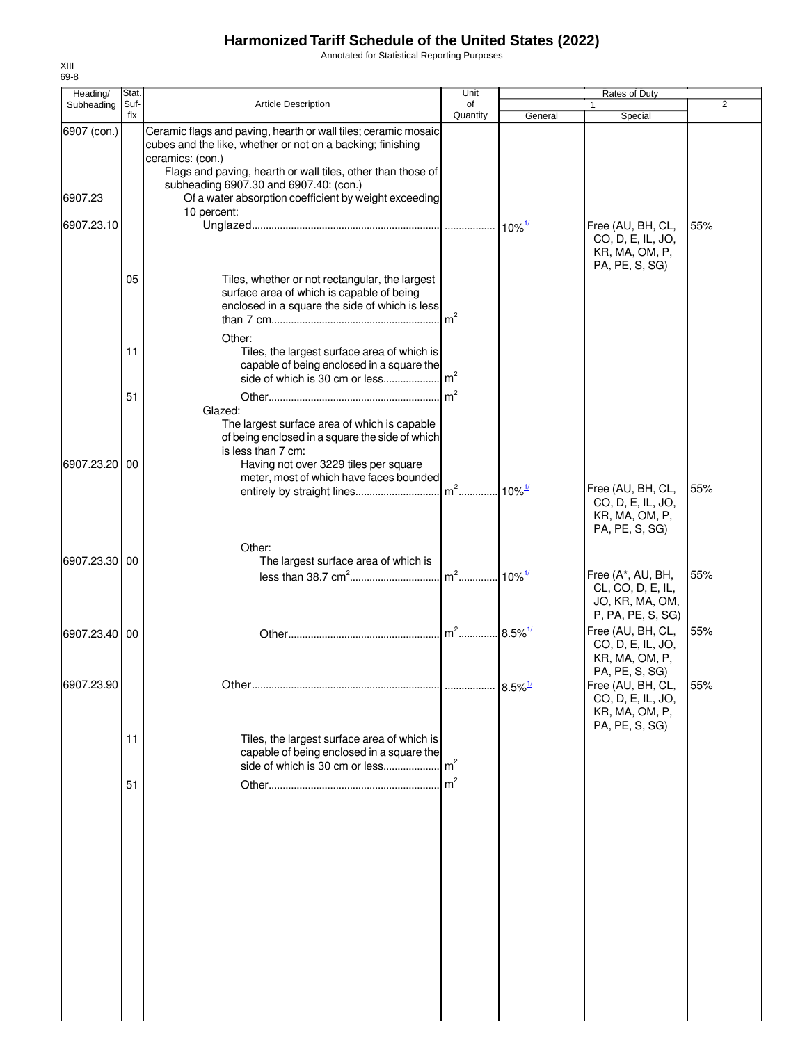Annotated for Statistical Reporting Purposes

| Heading/      | Stat.       |                                                                                                                                                                                                                 | Unit            |                       | Rates of Duty                                                                 |     |
|---------------|-------------|-----------------------------------------------------------------------------------------------------------------------------------------------------------------------------------------------------------------|-----------------|-----------------------|-------------------------------------------------------------------------------|-----|
| Subheading    | Suf-<br>fix | <b>Article Description</b>                                                                                                                                                                                      | of<br>Quantity  | General               | Special                                                                       | 2   |
| 6907 (con.)   |             | Ceramic flags and paving, hearth or wall tiles; ceramic mosaic<br>cubes and the like, whether or not on a backing; finishing<br>ceramics: (con.)<br>Flags and paving, hearth or wall tiles, other than those of |                 |                       |                                                                               |     |
| 6907.23       |             | subheading 6907.30 and 6907.40: (con.)<br>Of a water absorption coefficient by weight exceeding<br>10 percent:                                                                                                  |                 |                       |                                                                               |     |
| 6907.23.10    |             |                                                                                                                                                                                                                 |                 | $10\%$ <sup>1/</sup>  | Free (AU, BH, CL,<br>CO, D, E, IL, JO,<br>KR, MA, OM, P,<br>PA, PE, S, SG)    | 55% |
|               | 05          | Tiles, whether or not rectangular, the largest<br>surface area of which is capable of being<br>enclosed in a square the side of which is less                                                                   | $\mathsf{Im}^2$ |                       |                                                                               |     |
|               | 11          | Other:<br>Tiles, the largest surface area of which is<br>capable of being enclosed in a square the<br>side of which is 30 cm or less                                                                            | m <sup>2</sup>  |                       |                                                                               |     |
|               | 51          | Glazed:<br>The largest surface area of which is capable<br>of being enclosed in a square the side of which                                                                                                      | $\mathsf{Im}^2$ |                       |                                                                               |     |
| 6907.23.20    | 00          | is less than 7 cm:<br>Having not over 3229 tiles per square<br>meter, most of which have faces bounded                                                                                                          |                 | $10\%$ <sup>1/</sup>  | Free (AU, BH, CL,<br>CO, D, E, IL, JO,<br>KR, MA, OM, P,<br>PA, PE, S, SG)    | 55% |
| 6907.23.30    | 00          | Other:<br>The largest surface area of which is                                                                                                                                                                  |                 |                       | Free (A*, AU, BH,<br>CL, CO, D, E, IL,<br>JO, KR, MA, OM,                     | 55% |
| 6907.23.40 00 |             |                                                                                                                                                                                                                 | $m2$            | $8.5\%$ <sup>1/</sup> | P, PA, PE, S, SG)<br>Free (AU, BH, CL,<br>CO, D, E, IL, JO,<br>KR, MA, OM, P, | 55% |
| 6907.23.90    |             |                                                                                                                                                                                                                 |                 | $8.5\%$ <sup>1/</sup> | PA, PE, S, SG)<br>Free (AU, BH, CL,<br>CO, D, E, IL, JO,<br>KR, MA, OM, P,    | 55% |
|               | 11          | Tiles, the largest surface area of which is<br>capable of being enclosed in a square the<br>side of which is 30 cm or less                                                                                      | m <sup>2</sup>  |                       | PA, PE, S, SG)                                                                |     |
|               | 51          |                                                                                                                                                                                                                 | $\mathsf{m}^2$  |                       |                                                                               |     |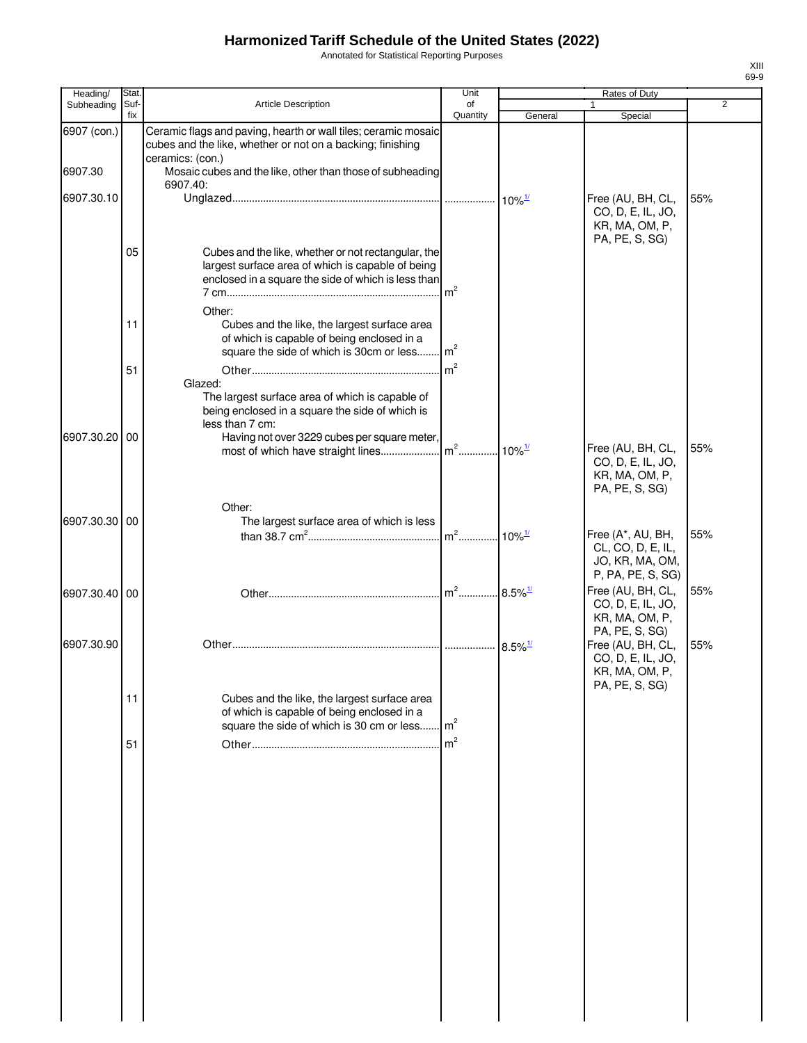Annotated for Statistical Reporting Purposes

| Heading/      | Stat.       |                                                                                                                                                                 | Unit           |                                            | Rates of Duty                                                             |                |
|---------------|-------------|-----------------------------------------------------------------------------------------------------------------------------------------------------------------|----------------|--------------------------------------------|---------------------------------------------------------------------------|----------------|
| Subheading    | Suf-<br>fix | Article Description                                                                                                                                             | of<br>Quantity | General                                    | Special                                                                   | $\overline{2}$ |
| 6907 (con.)   |             | Ceramic flags and paving, hearth or wall tiles; ceramic mosaic<br>cubes and the like, whether or not on a backing; finishing                                    |                |                                            |                                                                           |                |
| 6907.30       |             | ceramics: (con.)<br>Mosaic cubes and the like, other than those of subheading<br>6907.40:                                                                       |                |                                            |                                                                           |                |
| 6907.30.10    |             |                                                                                                                                                                 |                | $10\%$ <sup><math>\frac{1}{2}</math></sup> | Free (AU, BH, CL,<br>CO, D, E, IL, JO,<br>KR, MA, OM, P,                  | 55%            |
|               | 05          | Cubes and the like, whether or not rectangular, the<br>largest surface area of which is capable of being<br>enclosed in a square the side of which is less than | m <sup>2</sup> |                                            | PA, PE, S, SG)                                                            |                |
|               | 11          | Other:<br>Cubes and the like, the largest surface area<br>of which is capable of being enclosed in a<br>square the side of which is 30cm or less m <sup>2</sup> |                |                                            |                                                                           |                |
|               | 51          | Glazed:<br>The largest surface area of which is capable of                                                                                                      | m <sup>2</sup> |                                            |                                                                           |                |
| 6907.30.20 00 |             | being enclosed in a square the side of which is<br>less than 7 cm:<br>Having not over 3229 cubes per square meter,                                              |                | $10\%$ <sup>1/</sup>                       | Free (AU, BH, CL,                                                         | 55%            |
|               |             |                                                                                                                                                                 |                |                                            | CO, D, E, IL, JO,<br>KR, MA, OM, P,<br>PA, PE, S, SG)                     |                |
| 6907.30.30 00 |             | Other:<br>The largest surface area of which is less                                                                                                             | $m2$           | $10\%$ <sup>1/</sup>                       | Free (A*, AU, BH,<br>CL, CO, D, E, IL,                                    | 55%            |
| 6907.30.40 00 |             |                                                                                                                                                                 |                |                                            | JO, KR, MA, OM,<br>P, PA, PE, S, SG)<br>Free (AU, BH, CL,                 | 55%            |
|               |             |                                                                                                                                                                 |                |                                            | CO, D, E, IL, JO,<br>KR, MA, OM, P,<br>PA, PE, S, SG)                     |                |
| 6907.30.90    |             |                                                                                                                                                                 |                | $8.5\%$ <sup>1/</sup>                      | Free (AU, BH, CL,<br>CO, D, E, IL, JO,<br>KR, MA, OM, P<br>PA, PE, S, SG) | 55%            |
|               | 11          | Cubes and the like, the largest surface area<br>of which is capable of being enclosed in a<br>square the side of which is 30 cm or less                         | m <sup>2</sup> |                                            |                                                                           |                |
|               | 51          |                                                                                                                                                                 | m <sup>2</sup> |                                            |                                                                           |                |
|               |             |                                                                                                                                                                 |                |                                            |                                                                           |                |
|               |             |                                                                                                                                                                 |                |                                            |                                                                           |                |
|               |             |                                                                                                                                                                 |                |                                            |                                                                           |                |
|               |             |                                                                                                                                                                 |                |                                            |                                                                           |                |
|               |             |                                                                                                                                                                 |                |                                            |                                                                           |                |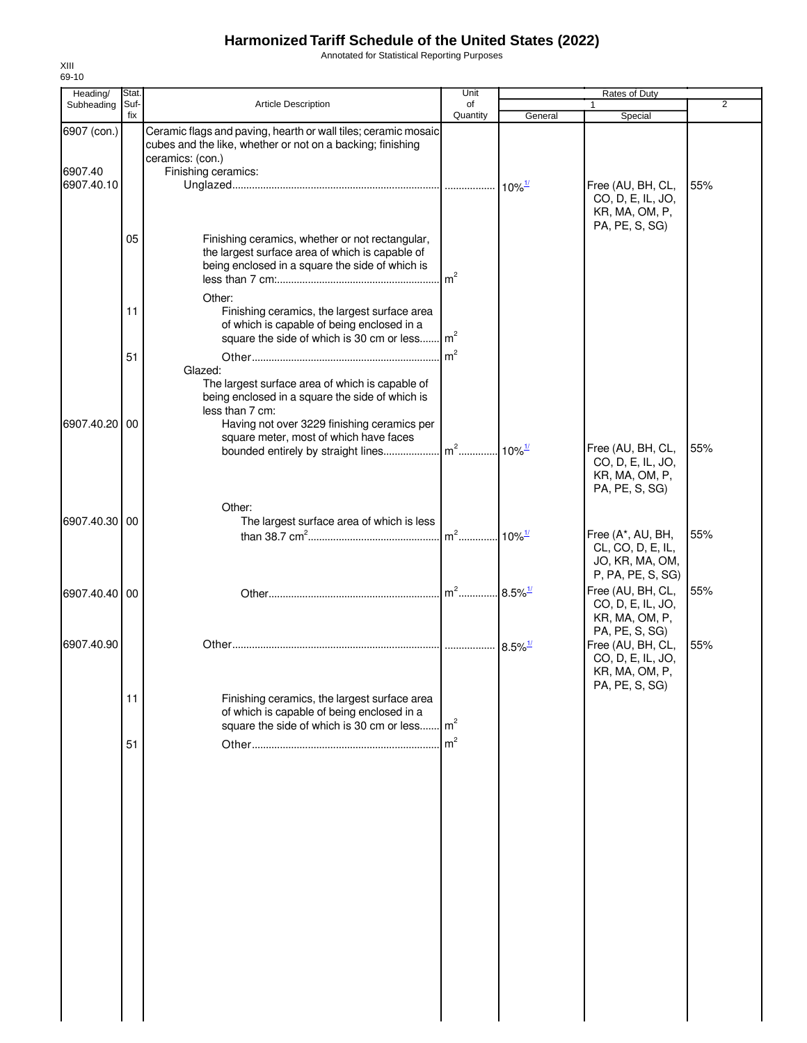Annotated for Statistical Reporting Purposes

| Heading/               | Stat.       | Article Description                                                                                                                                                     | Unit           | Rates of Duty         |                                                                            | 2   |  |
|------------------------|-------------|-------------------------------------------------------------------------------------------------------------------------------------------------------------------------|----------------|-----------------------|----------------------------------------------------------------------------|-----|--|
| Subheading             | Suf-<br>fix |                                                                                                                                                                         | of<br>Quantity | General               | Special                                                                    |     |  |
| 6907 (con.)<br>6907.40 |             | Ceramic flags and paving, hearth or wall tiles; ceramic mosaic<br>cubes and the like, whether or not on a backing; finishing<br>ceramics: (con.)<br>Finishing ceramics: |                |                       |                                                                            |     |  |
| 6907.40.10             |             |                                                                                                                                                                         |                |                       | Free (AU, BH, CL,<br>CO, D, E, IL, JO,<br>KR, MA, OM, P,<br>PA, PE, S, SG) | 55% |  |
|                        | 05          | Finishing ceramics, whether or not rectangular,<br>the largest surface area of which is capable of<br>being enclosed in a square the side of which is<br>Other:         |                |                       |                                                                            |     |  |
|                        | 11          | Finishing ceramics, the largest surface area<br>of which is capable of being enclosed in a<br>square the side of which is 30 cm or less                                 | m <sup>2</sup> |                       |                                                                            |     |  |
|                        | 51          | Glazed:<br>The largest surface area of which is capable of<br>being enclosed in a square the side of which is<br>less than 7 cm:                                        |                |                       |                                                                            |     |  |
| 6907.40.20 00          |             | Having not over 3229 finishing ceramics per<br>square meter, most of which have faces                                                                                   |                |                       | Free (AU, BH, CL,<br>CO, D, E, IL, JO,<br>KR, MA, OM, P,                   | 55% |  |
| 6907.40.30 00          |             | Other:<br>The largest surface area of which is less                                                                                                                     |                |                       | PA, PE, S, SG)<br>Free (A*, AU, BH,                                        | 55% |  |
|                        |             |                                                                                                                                                                         |                |                       | CL, CO, D, E, IL,<br>JO, KR, MA, OM,<br>P, PA, PE, S, SG)                  |     |  |
| 6907.40.40 00          |             |                                                                                                                                                                         |                |                       | Free (AU, BH, CL,<br>CO, D, E, IL, JO,<br>KR, MA, OM, P,<br>PA, PE, S, SG) | 55% |  |
| 6907.40.90             |             |                                                                                                                                                                         |                | $8.5\%$ <sup>1/</sup> | Free (AU, BH, CL,<br>CO, D, E, IL, JO,<br>KR, MA, OM, P,<br>PA, PE, S, SG) | 55% |  |
|                        | 11          | Finishing ceramics, the largest surface area<br>of which is capable of being enclosed in a<br>square the side of which is 30 cm or less                                 | m <sup>2</sup> |                       |                                                                            |     |  |
|                        | 51          |                                                                                                                                                                         |                |                       |                                                                            |     |  |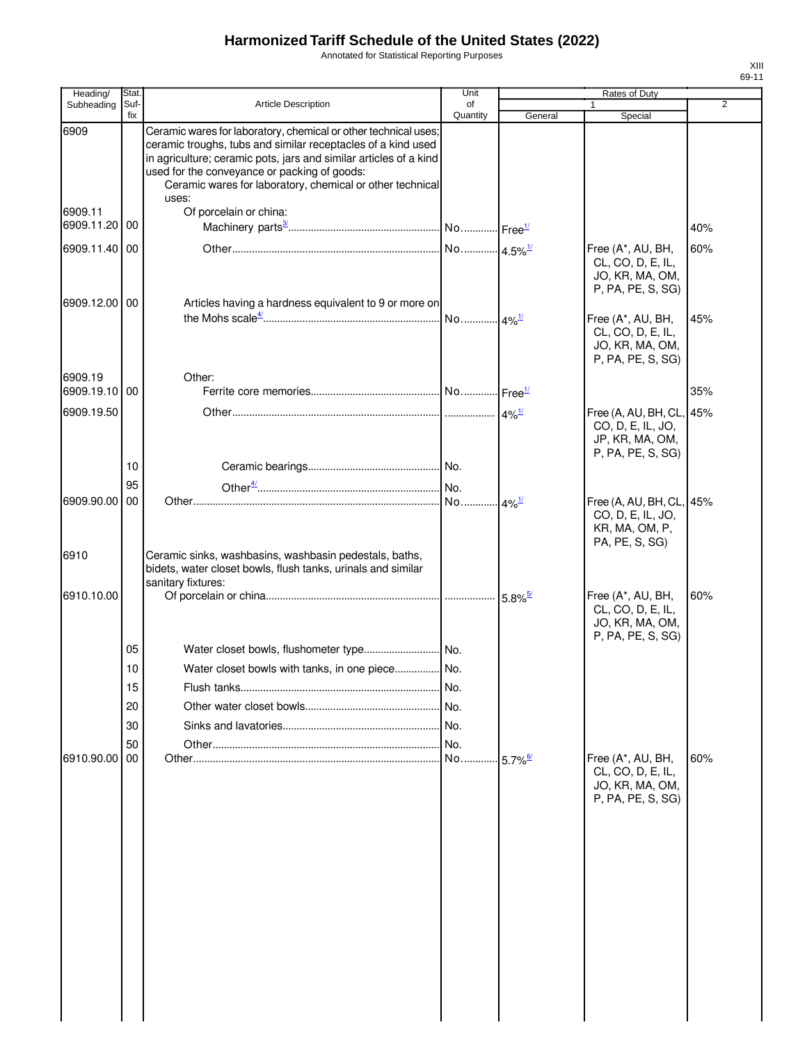Annotated for Statistical Reporting Purposes

| Suf-<br>fix<br>00<br>6909.11.40 00 | <b>Article Description</b><br>Ceramic wares for laboratory, chemical or other technical uses;<br>ceramic troughs, tubs and similar receptacles of a kind used<br>in agriculture; ceramic pots, jars and similar articles of a kind<br>used for the conveyance or packing of goods:<br>Ceramic wares for laboratory, chemical or other technical<br>uses:<br>Of porcelain or china: | of<br>Quantity                                               | General                                                       | Special                                                                        | $\overline{2}$                                                                                 |
|------------------------------------|------------------------------------------------------------------------------------------------------------------------------------------------------------------------------------------------------------------------------------------------------------------------------------------------------------------------------------------------------------------------------------|--------------------------------------------------------------|---------------------------------------------------------------|--------------------------------------------------------------------------------|------------------------------------------------------------------------------------------------|
|                                    |                                                                                                                                                                                                                                                                                                                                                                                    |                                                              |                                                               |                                                                                |                                                                                                |
|                                    |                                                                                                                                                                                                                                                                                                                                                                                    |                                                              |                                                               |                                                                                |                                                                                                |
|                                    |                                                                                                                                                                                                                                                                                                                                                                                    |                                                              |                                                               |                                                                                |                                                                                                |
|                                    |                                                                                                                                                                                                                                                                                                                                                                                    |                                                              |                                                               |                                                                                | 40%                                                                                            |
|                                    |                                                                                                                                                                                                                                                                                                                                                                                    |                                                              |                                                               | Free (A*, AU, BH,<br>CL, CO, D, E, IL,<br>JO, KR, MA, OM,<br>P, PA, PE, S, SG) | 60%                                                                                            |
| 6909.12.00 00                      | Articles having a hardness equivalent to 9 or more on                                                                                                                                                                                                                                                                                                                              |                                                              |                                                               | Free (A*, AU, BH,<br>CL, CO, D, E, IL,<br>JO, KR, MA, OM,<br>P, PA, PE, S, SG) | 45%                                                                                            |
|                                    | Other:                                                                                                                                                                                                                                                                                                                                                                             |                                                              |                                                               |                                                                                |                                                                                                |
|                                    |                                                                                                                                                                                                                                                                                                                                                                                    |                                                              |                                                               |                                                                                | 35%                                                                                            |
|                                    |                                                                                                                                                                                                                                                                                                                                                                                    |                                                              |                                                               | CO, D, E, IL, JO,<br>JP, KR, MA, OM,<br>P, PA, PE, S, SG)                      |                                                                                                |
| 10                                 |                                                                                                                                                                                                                                                                                                                                                                                    |                                                              |                                                               |                                                                                |                                                                                                |
| 95                                 |                                                                                                                                                                                                                                                                                                                                                                                    |                                                              |                                                               |                                                                                |                                                                                                |
|                                    | Ceramic sinks, washbasins, washbasin pedestals, baths,                                                                                                                                                                                                                                                                                                                             |                                                              |                                                               | CO, D, E, IL, JO,<br>KR, MA, OM, P,<br>PA, PE, S, SG)                          |                                                                                                |
|                                    | sanitary fixtures:                                                                                                                                                                                                                                                                                                                                                                 |                                                              |                                                               |                                                                                |                                                                                                |
|                                    |                                                                                                                                                                                                                                                                                                                                                                                    |                                                              |                                                               | CL, CO, D, E, IL,<br>JO, KR, MA, OM,                                           | 60%                                                                                            |
| 05                                 |                                                                                                                                                                                                                                                                                                                                                                                    |                                                              |                                                               |                                                                                |                                                                                                |
| 10                                 |                                                                                                                                                                                                                                                                                                                                                                                    |                                                              |                                                               |                                                                                |                                                                                                |
| 15                                 |                                                                                                                                                                                                                                                                                                                                                                                    | No.                                                          |                                                               |                                                                                |                                                                                                |
| 20                                 |                                                                                                                                                                                                                                                                                                                                                                                    |                                                              |                                                               |                                                                                |                                                                                                |
| 30                                 |                                                                                                                                                                                                                                                                                                                                                                                    |                                                              |                                                               |                                                                                |                                                                                                |
| 50<br>00                           |                                                                                                                                                                                                                                                                                                                                                                                    |                                                              | $5.7\%$ <sup>6/</sup>                                         | Free (A*, AU, BH,<br>CL, CO, D, E, IL,<br>JO, KR, MA, OM,<br>P, PA, PE, S, SG) | 60%                                                                                            |
|                                    |                                                                                                                                                                                                                                                                                                                                                                                    |                                                              |                                                               |                                                                                |                                                                                                |
|                                    | 00<br>00                                                                                                                                                                                                                                                                                                                                                                           | bidets, water closet bowls, flush tanks, urinals and similar | Water closet bowls with tanks, in one piece  No.<br>No.<br>No | $.4\%$ <sup>1/</sup><br>$4\%$ <sup>1/</sup><br>$5.8\%$ <sup>5/</sup>           | Free (A, AU, BH, CL, 45%<br>Free (A, AU, BH, CL, 45%<br>Free (A*, AU, BH,<br>P, PA, PE, S, SG) |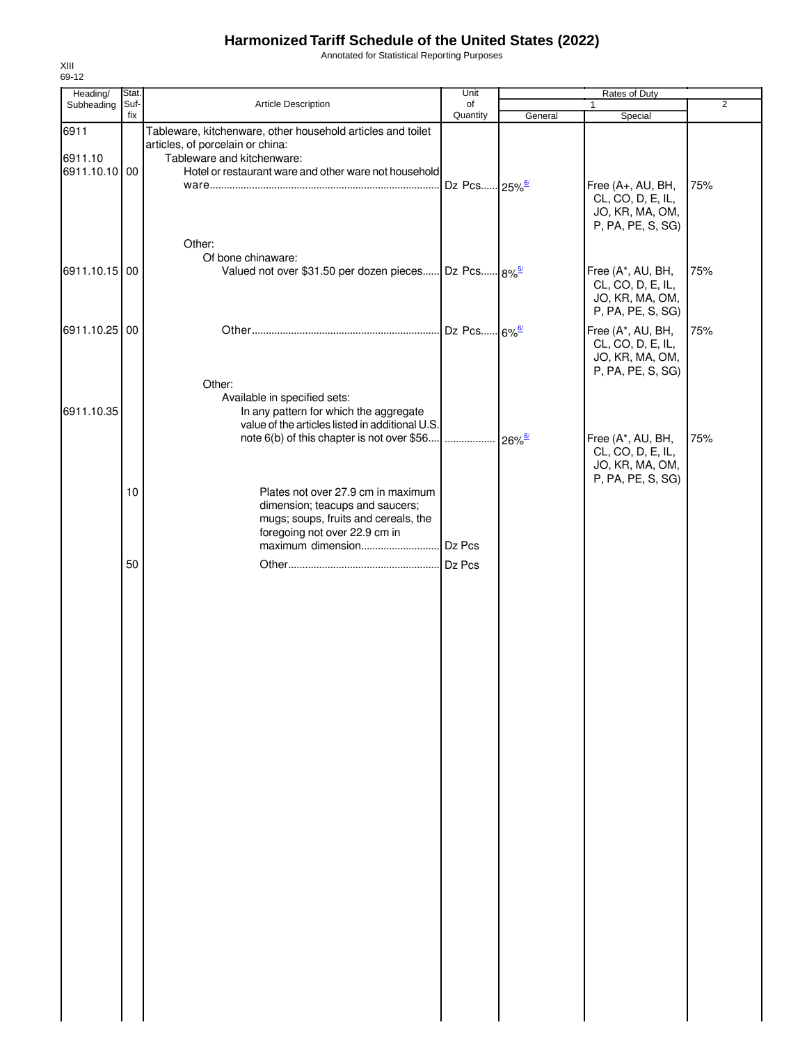Annotated for Statistical Reporting Purposes

| Heading/        | Stat.       |                                                                                                                                                                                   |                          | Unit<br>Rates of Duty |                                                                                |                |  |
|-----------------|-------------|-----------------------------------------------------------------------------------------------------------------------------------------------------------------------------------|--------------------------|-----------------------|--------------------------------------------------------------------------------|----------------|--|
| Subheading      | Suf-<br>fix | Article Description                                                                                                                                                               | of<br>Quantity           |                       | $\mathbf{1}$                                                                   | $\overline{2}$ |  |
| 6911<br>6911.10 |             | Tableware, kitchenware, other household articles and toilet<br>articles, of porcelain or china:<br>Tableware and kitchenware:                                                     |                          | General               | Special                                                                        |                |  |
| 6911.10.10 00   |             | Hotel or restaurant ware and other ware not household                                                                                                                             | Dz Pcs 25% <sup>6/</sup> |                       | Free (A+, AU, BH,<br>CL, CO, D, E, IL,<br>JO, KR, MA, OM,<br>P, PA, PE, S, SG) | 75%            |  |
|                 |             | Other:                                                                                                                                                                            |                          |                       |                                                                                |                |  |
| 6911.10.15 00   |             | Of bone chinaware:<br>Valued not over \$31.50 per dozen pieces Dz Pcs 8% <sup>5/</sup>                                                                                            |                          |                       | Free (A*, AU, BH,<br>CL, CO, D, E, IL,<br>JO, KR, MA, OM,<br>P, PA, PE, S, SG) | 75%            |  |
| 6911.10.25 00   |             |                                                                                                                                                                                   | Dz Pcs 6% <sup>6/</sup>  |                       | Free (A*, AU, BH,<br>CL, CO, D, E, IL,<br>JO, KR, MA, OM,<br>P, PA, PE, S, SG) | 75%            |  |
| 6911.10.35      |             | Other:<br>Available in specified sets:<br>In any pattern for which the aggregate<br>value of the articles listed in additional U.S.<br>note 6(b) of this chapter is not over \$56 |                          | $26\%$ <sup>6/</sup>  | Free (A*, AU, BH,<br>CL, CO, D, E, IL,<br>JO, KR, MA, OM,                      | 75%            |  |
|                 | 10          | Plates not over 27.9 cm in maximum<br>dimension; teacups and saucers;<br>mugs; soups, fruits and cereals, the<br>foregoing not over 22.9 cm in                                    | Dz Pcs                   |                       | P, PA, PE, S, SG)                                                              |                |  |
|                 | 50          |                                                                                                                                                                                   | Dz Pcs                   |                       |                                                                                |                |  |
|                 |             |                                                                                                                                                                                   |                          |                       |                                                                                |                |  |
|                 |             |                                                                                                                                                                                   |                          |                       |                                                                                |                |  |
|                 |             |                                                                                                                                                                                   |                          |                       |                                                                                |                |  |
|                 |             |                                                                                                                                                                                   |                          |                       |                                                                                |                |  |
|                 |             |                                                                                                                                                                                   |                          |                       |                                                                                |                |  |
|                 |             |                                                                                                                                                                                   |                          |                       |                                                                                |                |  |
|                 |             |                                                                                                                                                                                   |                          |                       |                                                                                |                |  |

XIII 69-12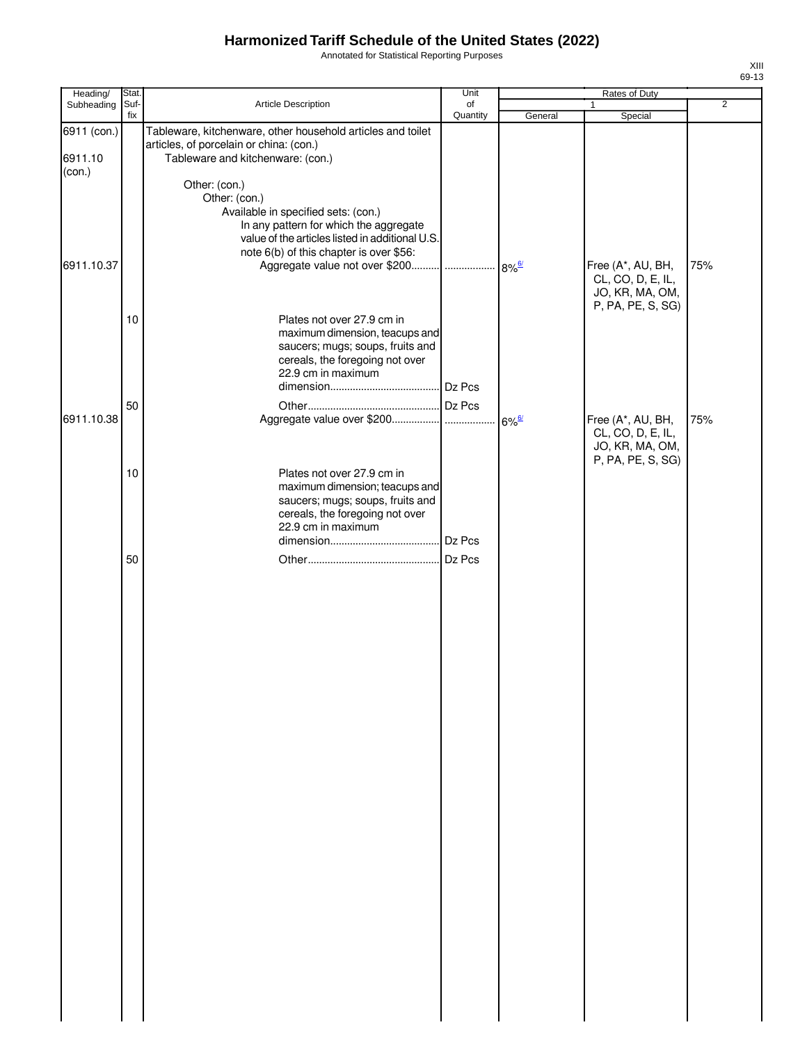Annotated for Statistical Reporting Purposes

| Heading/    | Stat.       |                                                                                                        | Unit           |         | Rates of Duty                        |                |
|-------------|-------------|--------------------------------------------------------------------------------------------------------|----------------|---------|--------------------------------------|----------------|
| Subheading  | Suf-<br>fix | Article Description                                                                                    | of<br>Quantity | General | 1<br>Special                         | $\overline{2}$ |
| 6911 (con.) |             | Tableware, kitchenware, other household articles and toilet<br>articles, of porcelain or china: (con.) |                |         |                                      |                |
| 6911.10     |             | Tableware and kitchenware: (con.)                                                                      |                |         |                                      |                |
| (con.)      |             | Other: (con.)                                                                                          |                |         |                                      |                |
|             |             | Other: (con.)                                                                                          |                |         |                                      |                |
|             |             | Available in specified sets: (con.)                                                                    |                |         |                                      |                |
|             |             | In any pattern for which the aggregate<br>value of the articles listed in additional U.S.              |                |         |                                      |                |
|             |             | note 6(b) of this chapter is over \$56:                                                                |                |         |                                      |                |
| 6911.10.37  |             |                                                                                                        |                |         | Free (A*, AU, BH,                    | 75%            |
|             |             |                                                                                                        |                |         | CL, CO, D, E, IL,                    |                |
|             |             |                                                                                                        |                |         | JO, KR, MA, OM,<br>P, PA, PE, S, SG) |                |
|             | 10          | Plates not over 27.9 cm in                                                                             |                |         |                                      |                |
|             |             | maximum dimension, teacups and                                                                         |                |         |                                      |                |
|             |             | saucers; mugs; soups, fruits and                                                                       |                |         |                                      |                |
|             |             | cereals, the foregoing not over<br>22.9 cm in maximum                                                  |                |         |                                      |                |
|             |             |                                                                                                        |                |         |                                      |                |
|             | 50          |                                                                                                        |                |         |                                      |                |
| 6911.10.38  |             |                                                                                                        |                |         | Free (A*, AU, BH,                    | 75%            |
|             |             |                                                                                                        |                |         | CL, CO, D, E, IL,                    |                |
|             |             |                                                                                                        |                |         | JO, KR, MA, OM,<br>P, PA, PE, S, SG) |                |
|             | 10          | Plates not over 27.9 cm in                                                                             |                |         |                                      |                |
|             |             | maximum dimension; teacups and                                                                         |                |         |                                      |                |
|             |             | saucers; mugs; soups, fruits and                                                                       |                |         |                                      |                |
|             |             | cereals, the foregoing not over<br>22.9 cm in maximum                                                  |                |         |                                      |                |
|             |             |                                                                                                        |                |         |                                      |                |
|             | 50          |                                                                                                        | Dz Pcs         |         |                                      |                |
|             |             |                                                                                                        |                |         |                                      |                |
|             |             |                                                                                                        |                |         |                                      |                |
|             |             |                                                                                                        |                |         |                                      |                |
|             |             |                                                                                                        |                |         |                                      |                |
|             |             |                                                                                                        |                |         |                                      |                |
|             |             |                                                                                                        |                |         |                                      |                |
|             |             |                                                                                                        |                |         |                                      |                |
|             |             |                                                                                                        |                |         |                                      |                |
|             |             |                                                                                                        |                |         |                                      |                |
|             |             |                                                                                                        |                |         |                                      |                |
|             |             |                                                                                                        |                |         |                                      |                |
|             |             |                                                                                                        |                |         |                                      |                |
|             |             |                                                                                                        |                |         |                                      |                |
|             |             |                                                                                                        |                |         |                                      |                |
|             |             |                                                                                                        |                |         |                                      |                |
|             |             |                                                                                                        |                |         |                                      |                |
|             |             |                                                                                                        |                |         |                                      |                |
|             |             |                                                                                                        |                |         |                                      |                |
|             |             |                                                                                                        |                |         |                                      |                |
|             |             |                                                                                                        |                |         |                                      |                |
|             |             |                                                                                                        |                |         |                                      |                |
|             |             |                                                                                                        |                |         |                                      |                |
|             |             |                                                                                                        |                |         |                                      |                |
|             |             |                                                                                                        |                |         |                                      |                |
|             |             |                                                                                                        |                |         |                                      |                |
|             |             |                                                                                                        |                |         |                                      |                |
|             |             |                                                                                                        |                |         |                                      |                |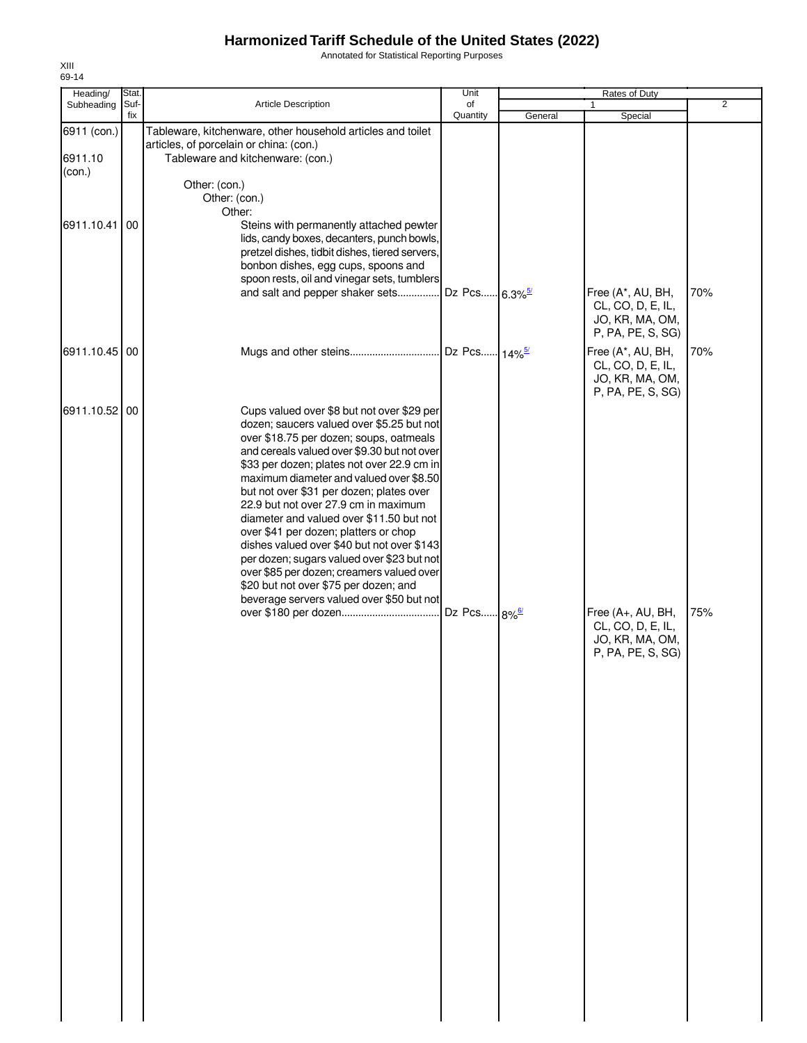Annotated for Statistical Reporting Purposes

Unit Rates of Duty of **Quantity** Article Description Subheading 1 2 Stat. Suffix Heading/<br>Subheading General | Special Tableware, kitchenware, other household articles and toilet articles, of porcelain or china: (con.) 6911 (con.) 6911.10 | Tableware and kitchenware: (con.) Other: (con.) Other: (con.) Other: Steins with permanently attached pewter lids, candy boxes, decanters, punch bowls, pretzel dishes, tidbit dishes, tiered servers, bonbon dishes, egg cups, spoons and spoon rests, oil and vinegar sets, tumblers and salt and pepper shaker sets............... 6911.10.41 00 Free (A\*, AU, BH, 70% CL, CO, D, E, IL, JO, KR, MA, OM, P, PA, PE, S, SG) 8.3% Dz Pcs...... <mark>6.3</mark> ...... <mark>2</mark>% Dz Pcs...... <mark>14</mark> ...... 1

|               |  | lids, candy boxes, decanters, punch bowls,<br>pretzel dishes, tidbit dishes, tiered servers,<br>bonbon dishes, egg cups, spoons and<br>spoon rests, oil and vinegar sets, tumblers<br>and salt and pepper shaker sets                                                                                                                                                                                                                                                                                                                                                                                                                                                              | Dz Pcs 6.3% <sup>5/</sup> | Free (A*, AU, BH,<br>CL, CO, D, E, IL,<br>JO, KR, MA, OM,<br>P, PA, PE, S, SG) | 70% |
|---------------|--|------------------------------------------------------------------------------------------------------------------------------------------------------------------------------------------------------------------------------------------------------------------------------------------------------------------------------------------------------------------------------------------------------------------------------------------------------------------------------------------------------------------------------------------------------------------------------------------------------------------------------------------------------------------------------------|---------------------------|--------------------------------------------------------------------------------|-----|
| 6911.10.45 00 |  |                                                                                                                                                                                                                                                                                                                                                                                                                                                                                                                                                                                                                                                                                    |                           | Free (A*, AU, BH,<br>CL, CO, D, E, IL,<br>JO, KR, MA, OM,<br>P, PA, PE, S, SG) | 70% |
| 6911.10.52 00 |  | Cups valued over \$8 but not over \$29 per<br>dozen; saucers valued over \$5.25 but not<br>over \$18.75 per dozen; soups, oatmeals<br>and cereals valued over \$9.30 but not over<br>\$33 per dozen; plates not over 22.9 cm in<br>maximum diameter and valued over \$8.50<br>but not over \$31 per dozen; plates over<br>22.9 but not over 27.9 cm in maximum<br>diameter and valued over \$11.50 but not<br>over \$41 per dozen; platters or chop<br>dishes valued over \$40 but not over \$143<br>per dozen; sugars valued over \$23 but not<br>over \$85 per dozen; creamers valued over<br>\$20 but not over \$75 per dozen; and<br>beverage servers valued over \$50 but not |                           | Free (A+, AU, BH,<br>CL, CO, D, E, IL,<br>JO, KR, MA, OM,<br>P, PA, PE, S, SG) | 75% |

XIII 69-14

(con.)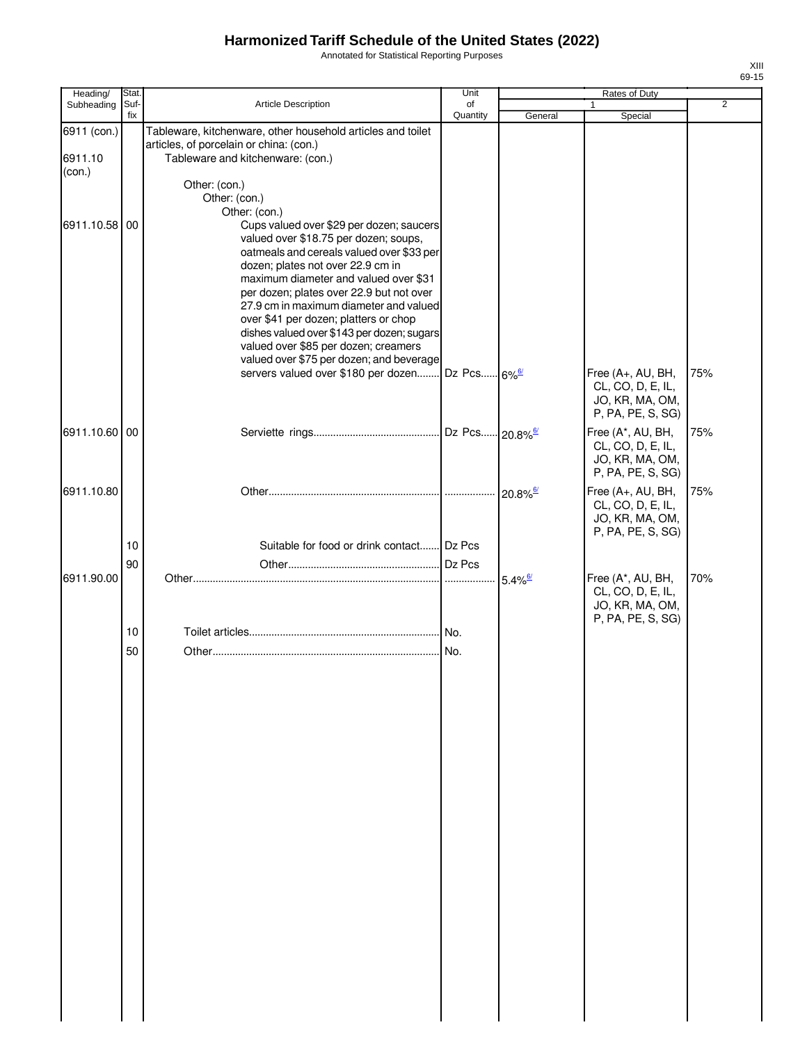Annotated for Statistical Reporting Purposes

| Heading/                         | Stat.       |                                                                                                                                                                                                                                                                                                                                                                                                                                                                                                                                              | Unit           |                         | <b>Rates of Duty</b>                                                           |                |
|----------------------------------|-------------|----------------------------------------------------------------------------------------------------------------------------------------------------------------------------------------------------------------------------------------------------------------------------------------------------------------------------------------------------------------------------------------------------------------------------------------------------------------------------------------------------------------------------------------------|----------------|-------------------------|--------------------------------------------------------------------------------|----------------|
| Subheading                       | Suf-<br>fix | <b>Article Description</b>                                                                                                                                                                                                                                                                                                                                                                                                                                                                                                                   | of<br>Quantity | General                 | 1<br>Special                                                                   | $\overline{2}$ |
| 6911 (con.)<br>6911.10<br>(con.) |             | Tableware, kitchenware, other household articles and toilet<br>articles, of porcelain or china: (con.)<br>Tableware and kitchenware: (con.)<br>Other: (con.)<br>Other: (con.)                                                                                                                                                                                                                                                                                                                                                                |                |                         |                                                                                |                |
| 6911.10.58 00                    |             | Other: (con.)<br>Cups valued over \$29 per dozen; saucers<br>valued over \$18.75 per dozen; soups,<br>oatmeals and cereals valued over \$33 per<br>dozen; plates not over 22.9 cm in<br>maximum diameter and valued over \$31<br>per dozen; plates over 22.9 but not over<br>27.9 cm in maximum diameter and valued<br>over \$41 per dozen; platters or chop<br>dishes valued over \$143 per dozen; sugars<br>valued over \$85 per dozen; creamers<br>valued over \$75 per dozen; and beverage<br>servers valued over \$180 per dozen Dz Pcs |                | $-6\%$ <sup>6/</sup>    | Free (A+, AU, BH,<br>CL, CO, D, E, IL,<br>JO, KR, MA, OM,<br>P, PA, PE, S, SG) | 75%            |
| 6911.10.60 00                    |             |                                                                                                                                                                                                                                                                                                                                                                                                                                                                                                                                              |                | $-20.8\%$ <sup>6/</sup> | Free (A*, AU, BH,<br>CL, CO, D, E, IL,<br>JO, KR, MA, OM,<br>P, PA, PE, S, SG) | 75%            |
| 6911.10.80                       |             |                                                                                                                                                                                                                                                                                                                                                                                                                                                                                                                                              |                | $20.8\%$ <sup>6/</sup>  | Free (A+, AU, BH,<br>CL, CO, D, E, IL,<br>JO, KR, MA, OM,<br>P, PA, PE, S, SG) | 75%            |
|                                  | 10          | Suitable for food or drink contact Dz Pcs                                                                                                                                                                                                                                                                                                                                                                                                                                                                                                    |                |                         |                                                                                |                |
|                                  | 90          |                                                                                                                                                                                                                                                                                                                                                                                                                                                                                                                                              |                |                         |                                                                                |                |
| 6911.90.00                       |             |                                                                                                                                                                                                                                                                                                                                                                                                                                                                                                                                              | .              | $5.4\%$ <sup>6/</sup>   | Free (A*, AU, BH,<br>CL, CO, D, E, IL,<br>JO, KR, MA, OM,<br>P, PA, PE, S, SG) | 70%            |
|                                  | 10<br>50    |                                                                                                                                                                                                                                                                                                                                                                                                                                                                                                                                              | No.            |                         |                                                                                |                |
|                                  |             |                                                                                                                                                                                                                                                                                                                                                                                                                                                                                                                                              |                |                         |                                                                                |                |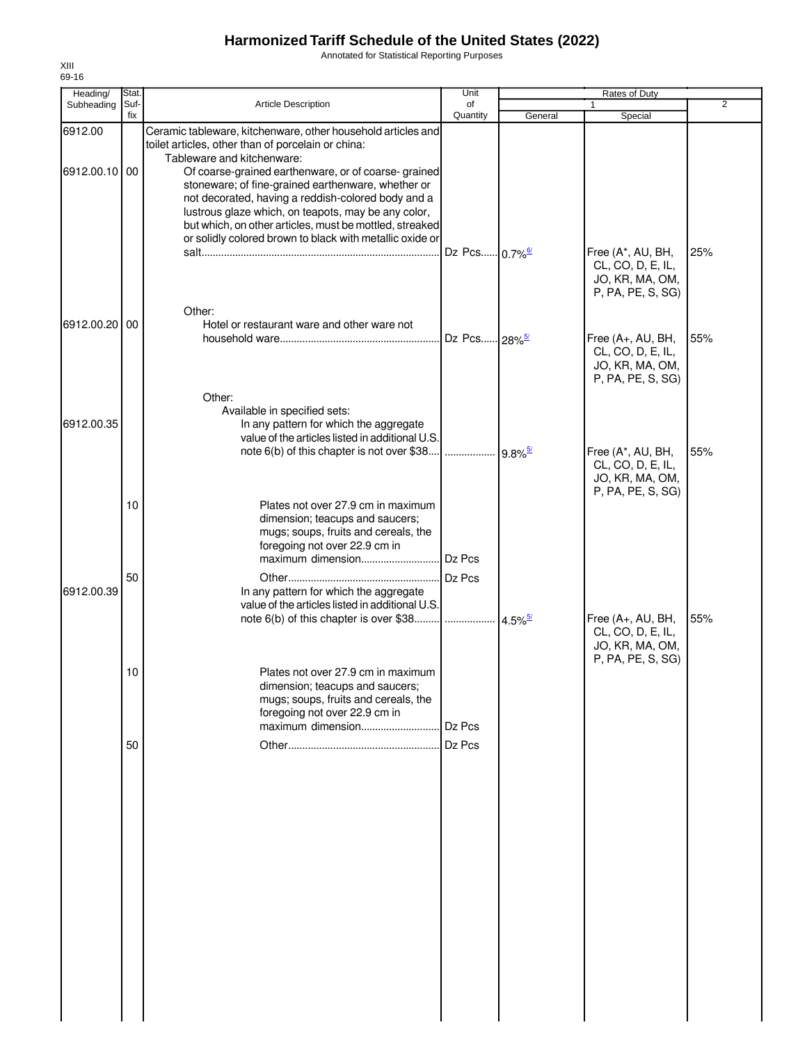Annotated for Statistical Reporting Purposes

| Heading/      | Stat.       |                                                                                                                                                                                                                                                                                                                                               | Unit                      |                       |                                                                                |                |
|---------------|-------------|-----------------------------------------------------------------------------------------------------------------------------------------------------------------------------------------------------------------------------------------------------------------------------------------------------------------------------------------------|---------------------------|-----------------------|--------------------------------------------------------------------------------|----------------|
| Subheading    | Suf-<br>fix | <b>Article Description</b>                                                                                                                                                                                                                                                                                                                    | of<br>Quantity            | General               | Special                                                                        | $\overline{2}$ |
| 6912.00       |             | Ceramic tableware, kitchenware, other household articles and<br>toilet articles, other than of porcelain or china:<br>Tableware and kitchenware:                                                                                                                                                                                              |                           |                       |                                                                                |                |
| 6912.00.10 00 |             | Of coarse-grained earthenware, or of coarse-grained<br>stoneware; of fine-grained earthenware, whether or<br>not decorated, having a reddish-colored body and a<br>lustrous glaze which, on teapots, may be any color,<br>but which, on other articles, must be mottled, streaked<br>or solidly colored brown to black with metallic oxide or |                           |                       |                                                                                |                |
|               |             |                                                                                                                                                                                                                                                                                                                                               | Dz Pcs 0.7% <sup>6/</sup> |                       | Free (A*, AU, BH,<br>CL, CO, D, E, IL,<br>JO, KR, MA, OM,<br>P, PA, PE, S, SG) | 25%            |
| 6912.00.20    | 00          | Other:<br>Hotel or restaurant ware and other ware not                                                                                                                                                                                                                                                                                         | Dz Pcs 28% <sup>5/</sup>  |                       | Free (A+, AU, BH,<br>CL, CO, D, E, IL,<br>JO, KR, MA, OM,<br>P, PA, PE, S, SG) | 55%            |
| 6912.00.35    |             | Other:<br>Available in specified sets:<br>In any pattern for which the aggregate<br>value of the articles listed in additional U.S.                                                                                                                                                                                                           |                           |                       |                                                                                |                |
|               | 10          | note 6(b) of this chapter is not over \$38<br>Plates not over 27.9 cm in maximum                                                                                                                                                                                                                                                              |                           |                       | Free (A*, AU, BH,<br>CL, CO, D, E, IL,<br>JO, KR, MA, OM,<br>P, PA, PE, S, SG) | 55%            |
|               |             | dimension; teacups and saucers;<br>mugs; soups, fruits and cereals, the<br>foregoing not over 22.9 cm in                                                                                                                                                                                                                                      | Dz Pcs                    |                       |                                                                                |                |
| 6912.00.39    | 50          | In any pattern for which the aggregate<br>value of the articles listed in additional U.S.<br>note 6(b) of this chapter is over \$38                                                                                                                                                                                                           | .                         | $4.5\%$ <sup>5/</sup> | Free (A+, AU, BH,                                                              | 55%            |
|               | 10          | Plates not over 27.9 cm in maximum<br>dimension; teacups and saucers;                                                                                                                                                                                                                                                                         |                           |                       | CL, CO, D, E, IL,<br>JO, KR, MA, OM,<br>P, PA, PE, S, SG)                      |                |
|               | 50          | mugs; soups, fruits and cereals, the<br>foregoing not over 22.9 cm in<br>maximum dimension                                                                                                                                                                                                                                                    | Dz Pcs<br>Dz Pcs          |                       |                                                                                |                |
|               |             |                                                                                                                                                                                                                                                                                                                                               |                           |                       |                                                                                |                |
|               |             |                                                                                                                                                                                                                                                                                                                                               |                           |                       |                                                                                |                |
|               |             |                                                                                                                                                                                                                                                                                                                                               |                           |                       |                                                                                |                |
|               |             |                                                                                                                                                                                                                                                                                                                                               |                           |                       |                                                                                |                |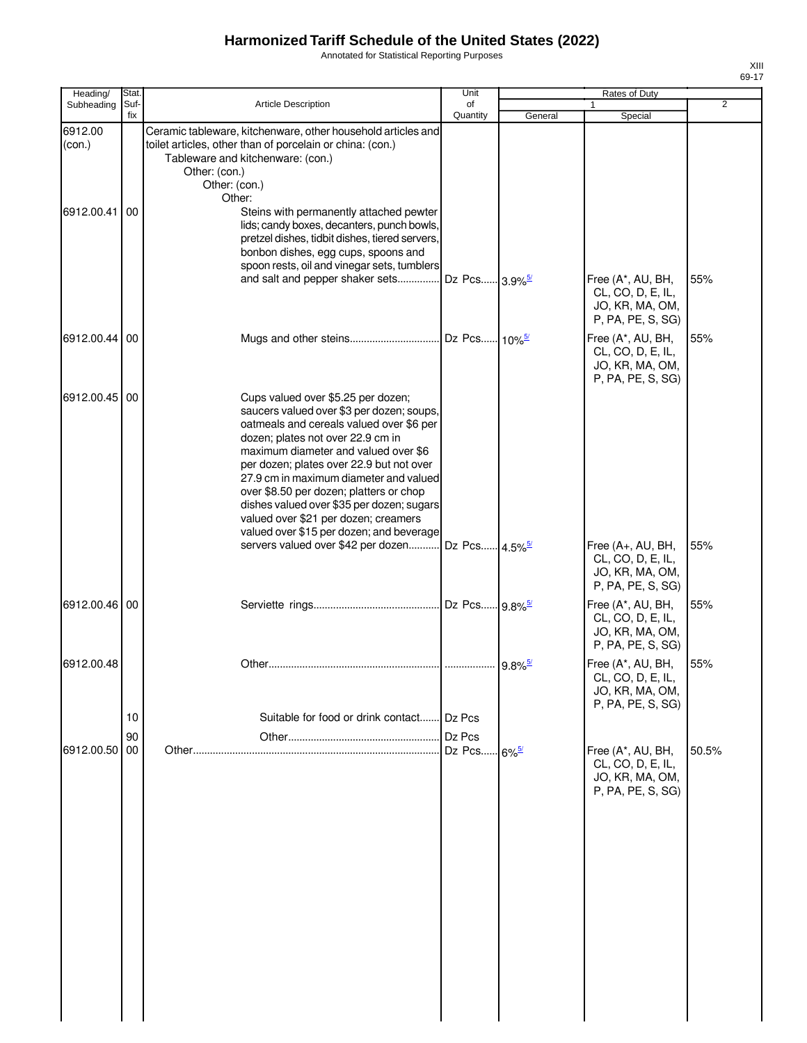Annotated for Statistical Reporting Purposes

| Heading/          | Stat.       |                                                                                                                                                                                                                                                                                                                                                                                                                                                                            | Unit             | Rates of Duty       |                                                                                |       |  |
|-------------------|-------------|----------------------------------------------------------------------------------------------------------------------------------------------------------------------------------------------------------------------------------------------------------------------------------------------------------------------------------------------------------------------------------------------------------------------------------------------------------------------------|------------------|---------------------|--------------------------------------------------------------------------------|-------|--|
| Subheading        | Suf-<br>fix | <b>Article Description</b>                                                                                                                                                                                                                                                                                                                                                                                                                                                 | of<br>Quantity   | General             | $\mathbf{1}$<br>Special                                                        | 2     |  |
| 6912.00<br>(con.) |             | Ceramic tableware, kitchenware, other household articles and<br>toilet articles, other than of porcelain or china: (con.)<br>Tableware and kitchenware: (con.)<br>Other: (con.)<br>Other: (con.)<br>Other:                                                                                                                                                                                                                                                                 |                  |                     |                                                                                |       |  |
| 6912.00.41        | 00          | Steins with permanently attached pewter<br>lids; candy boxes, decanters, punch bowls,<br>pretzel dishes, tidbit dishes, tiered servers,<br>bonbon dishes, egg cups, spoons and<br>spoon rests, oil and vinegar sets, tumblers                                                                                                                                                                                                                                              |                  |                     |                                                                                |       |  |
|                   |             | and salt and pepper shaker sets Dz Pcs 3.9% <sup>5/</sup>                                                                                                                                                                                                                                                                                                                                                                                                                  |                  |                     | Free (A*, AU, BH,<br>CL, CO, D, E, IL,<br>JO, KR, MA, OM,<br>P, PA, PE, S, SG) | 55%   |  |
| 6912.00.44        | 00          |                                                                                                                                                                                                                                                                                                                                                                                                                                                                            |                  |                     | Free (A*, AU, BH,<br>CL, CO, D, E, IL,<br>JO, KR, MA, OM,<br>P, PA, PE, S, SG) | 55%   |  |
| 6912.00.45        | 00          | Cups valued over \$5.25 per dozen;<br>saucers valued over \$3 per dozen; soups,<br>oatmeals and cereals valued over \$6 per<br>dozen; plates not over 22.9 cm in<br>maximum diameter and valued over \$6<br>per dozen; plates over 22.9 but not over<br>27.9 cm in maximum diameter and valued<br>over \$8.50 per dozen; platters or chop<br>dishes valued over \$35 per dozen; sugars<br>valued over \$21 per dozen; creamers<br>valued over \$15 per dozen; and beverage |                  |                     |                                                                                |       |  |
|                   |             | servers valued over \$42 per dozen Dz Pcs 4.5% <sup>5/</sup>                                                                                                                                                                                                                                                                                                                                                                                                               |                  |                     | Free (A+, AU, BH,<br>CL, CO, D, E, IL,<br>JO, KR, MA, OM,<br>P, PA, PE, S, SG) | 55%   |  |
| 6912.00.46 00     |             |                                                                                                                                                                                                                                                                                                                                                                                                                                                                            |                  |                     | Free (A*, AU, BH,<br>CL, CO, D, E, IL,<br>JO, KR, MA, OM,<br>P, PA, PE, S, SG) | 55%   |  |
| 6912.00.48        | 10          | Suitable for food or drink contact                                                                                                                                                                                                                                                                                                                                                                                                                                         | Dz Pcs           |                     | Free (A*, AU, BH,<br>CL, CO, D, E, IL,<br>JO, KR, MA, OM,<br>P, PA, PE, S, SG) | 55%   |  |
| 6912.00.50        | 90<br>00    |                                                                                                                                                                                                                                                                                                                                                                                                                                                                            | Dz Pcs<br>Dz Pcs | $6\%$ <sup>5/</sup> | Free (A*, AU, BH,<br>CL, CO, D, E, IL,<br>JO, KR, MA, OM,<br>P, PA, PE, S, SG) | 50.5% |  |
|                   |             |                                                                                                                                                                                                                                                                                                                                                                                                                                                                            |                  |                     |                                                                                |       |  |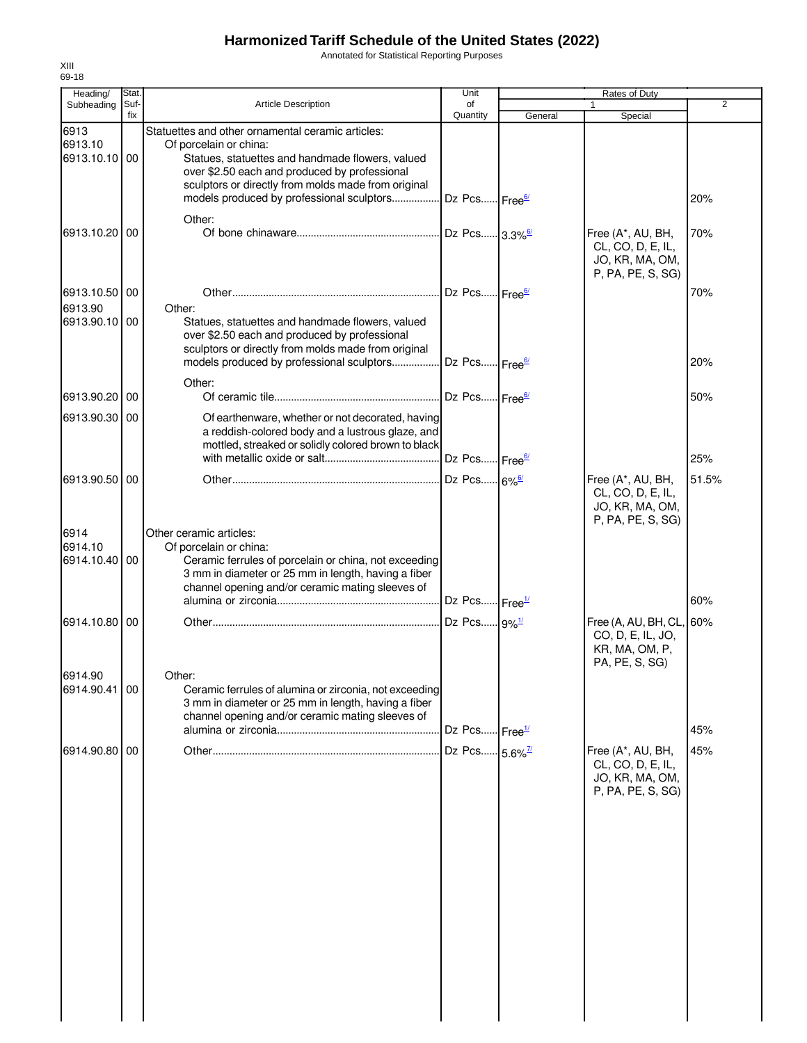Annotated for Statistical Reporting Purposes

| Heading/                         | Stat.       |                                                                                                                                                                                                                       | Unit                       |                      | Rates of Duty                                                                     |       |
|----------------------------------|-------------|-----------------------------------------------------------------------------------------------------------------------------------------------------------------------------------------------------------------------|----------------------------|----------------------|-----------------------------------------------------------------------------------|-------|
| Subheading                       | Suf-<br>fix | <b>Article Description</b>                                                                                                                                                                                            | of<br>Quantity             |                      | $\mathbf{1}$                                                                      | 2     |
| 6913<br>6913.10<br>6913.10.10 00 |             | Statuettes and other ornamental ceramic articles:<br>Of porcelain or china:<br>Statues, statuettes and handmade flowers, valued<br>over \$2.50 each and produced by professional                                      |                            | General              | Special                                                                           |       |
|                                  |             | sculptors or directly from molds made from original<br>models produced by professional sculptors<br>Other:                                                                                                            | Dz Pcs Free <sup>6/</sup>  |                      |                                                                                   | 20%   |
| 6913.10.20                       | 00          |                                                                                                                                                                                                                       | Dz Pcs 3.3% <sup>6/</sup>  |                      | Free (A*, AU, BH,<br>CL, CO, D, E, IL,<br>JO, KR, MA, OM,<br>P, PA, PE, S, SG)    | 70%   |
| 6913.10.50 00                    |             |                                                                                                                                                                                                                       | Dz Pcs Free <sup>6/</sup>  |                      |                                                                                   | 70%   |
| 6913.90<br>6913.90.10 00         |             | Other:<br>Statues, statuettes and handmade flowers, valued<br>over \$2.50 each and produced by professional<br>sculptors or directly from molds made from original<br>models produced by professional sculptors       | Dz Pcs Free <sup>6/</sup>  |                      |                                                                                   | 20%   |
| 6913.90.20 00                    |             | Other:                                                                                                                                                                                                                | Dz Pcs Free <sup>6/</sup>  |                      |                                                                                   | 50%   |
| 6913.90.30 00                    |             | Of earthenware, whether or not decorated, having<br>a reddish-colored body and a lustrous glaze, and<br>mottled, streaked or solidly colored brown to black                                                           |                            |                      |                                                                                   |       |
|                                  |             |                                                                                                                                                                                                                       | Dz Pcs Free <sup>6/</sup>  |                      |                                                                                   | 25%   |
| 6913.90.50                       | 00          |                                                                                                                                                                                                                       |                            | $.6\%$ <sup>6/</sup> | Free (A*, AU, BH,<br>CL, CO, D, E, IL,<br>JO, KR, MA, OM,<br>P, PA, PE, S, SG)    | 51.5% |
| 6914<br>6914.10<br>6914.10.40    | 00          | Other ceramic articles:<br>Of porcelain or china:<br>Ceramic ferrules of porcelain or china, not exceeding<br>3 mm in diameter or 25 mm in length, having a fiber<br>channel opening and/or ceramic mating sleeves of |                            |                      |                                                                                   |       |
|                                  |             |                                                                                                                                                                                                                       | Dz Pcs Free <sup>1/</sup>  |                      |                                                                                   | 60%   |
| 6914.10.80                       | 00          |                                                                                                                                                                                                                       | Dz Pcs 9%1/                |                      | Free (A, AU, BH, CL, 60%<br>CO, D, E, IL, JO,<br>KR, MA, OM, P,<br>PA, PE, S, SG) |       |
| 6914.90<br>6914.90.41 00         |             | Other:<br>Ceramic ferrules of alumina or zirconia, not exceeding<br>3 mm in diameter or 25 mm in length, having a fiber<br>channel opening and/or ceramic mating sleeves of                                           | Dz Pcs Free <sup>1/</sup>  |                      |                                                                                   | 45%   |
|                                  |             |                                                                                                                                                                                                                       |                            |                      |                                                                                   |       |
| 6914.90.80                       | 00          |                                                                                                                                                                                                                       | Dz Pcs 5.6% <sup>7/2</sup> |                      | Free (A*, AU, BH,<br>CL, CO, D, E, IL,<br>JO, KR, MA, OM,<br>P, PA, PE, S, SG)    | 45%   |
|                                  |             |                                                                                                                                                                                                                       |                            |                      |                                                                                   |       |